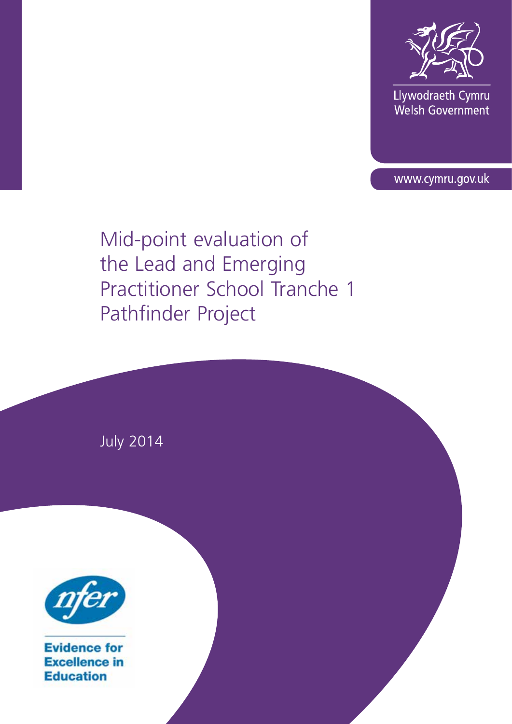

Llywodraeth Cymru Welsh Government

www.cymru.gov.uk

Mid-point evaluation of the Lead and Emerging Practitioner School Tranche 1 Pathfinder Project

July 2014



**Evidence for Excellence in Education**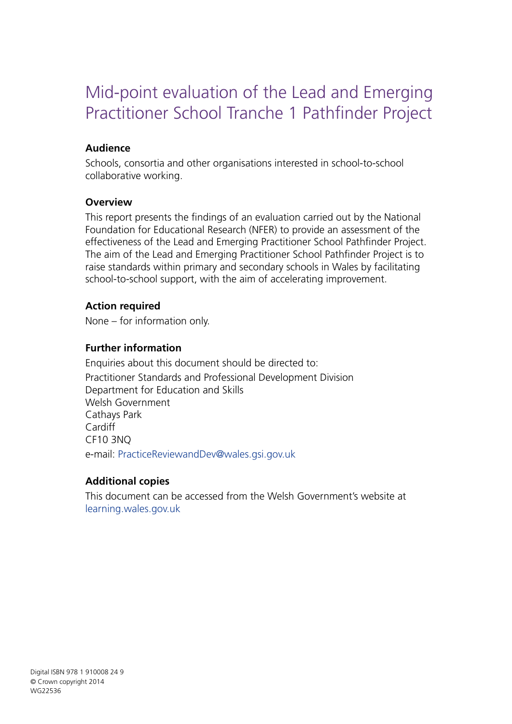# Mid-point evaluation of the Lead and Emerging Practitioner School Tranche 1 Pathfinder Project

### **Audience**

Schools, consortia and other organisations interested in school-to-school collaborative working.

#### **Overview**

This report presents the findings of an evaluation carried out by the National Foundation for Educational Research (NFER) to provide an assessment of the effectiveness of the Lead and Emerging Practitioner School Pathfinder Project. The aim of the Lead and Emerging Practitioner School Pathfinder Project is to raise standards within primary and secondary schools in Wales by facilitating school-to-school support, with the aim of accelerating improvement.

#### **Action required**

None – for information only.

### **Further information**

Enquiries about this document should be directed to: Practitioner Standards and Professional Development Division Department for Education and Skills Welsh Government Cathays Park Cardiff CF10 3NQ e-mail: PracticeReviewandDev@wales.gsi.gov.uk

#### **Additional copies**

This document can be accessed from the Welsh Government's website at [learning.wales.gov.uk](www.learning.wales.gov.uk)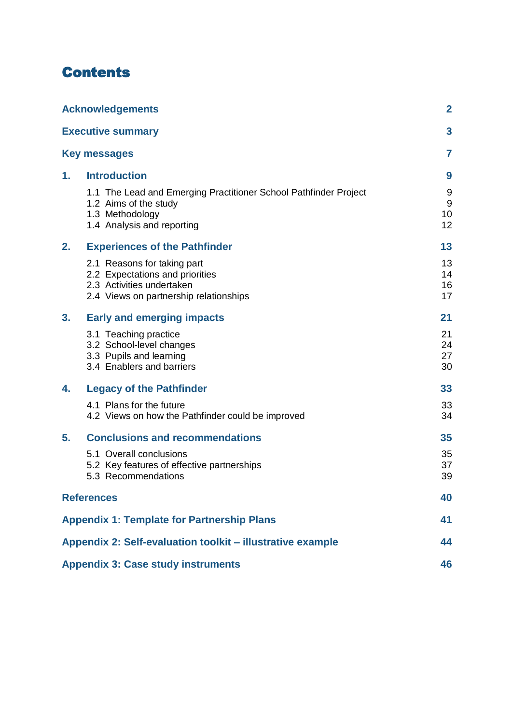# **Contents**

|    | <b>Acknowledgements</b>                                                                                                                    | $\mathbf{2}$         |
|----|--------------------------------------------------------------------------------------------------------------------------------------------|----------------------|
|    | <b>Executive summary</b>                                                                                                                   | 3                    |
|    | <b>Key messages</b>                                                                                                                        | 7                    |
| 1. | <b>Introduction</b>                                                                                                                        | 9                    |
|    | 1.1 The Lead and Emerging Practitioner School Pathfinder Project<br>1.2 Aims of the study<br>1.3 Methodology<br>1.4 Analysis and reporting | 9<br>9<br>10<br>12   |
| 2. | <b>Experiences of the Pathfinder</b>                                                                                                       | 13                   |
|    | 2.1 Reasons for taking part<br>2.2 Expectations and priorities<br>2.3 Activities undertaken<br>2.4 Views on partnership relationships      | 13<br>14<br>16<br>17 |
| 3. | <b>Early and emerging impacts</b>                                                                                                          | 21                   |
|    | 3.1 Teaching practice<br>3.2 School-level changes<br>3.3 Pupils and learning<br>3.4 Enablers and barriers                                  | 21<br>24<br>27<br>30 |
| 4. | <b>Legacy of the Pathfinder</b>                                                                                                            | 33                   |
|    | 4.1 Plans for the future<br>4.2 Views on how the Pathfinder could be improved                                                              | 33<br>34             |
| 5. | <b>Conclusions and recommendations</b>                                                                                                     | 35                   |
|    | 5.1 Overall conclusions<br>5.2 Key features of effective partnerships<br>5.3 Recommendations                                               | 35<br>37<br>39       |
|    | <b>References</b>                                                                                                                          | 40                   |
|    | <b>Appendix 1: Template for Partnership Plans</b>                                                                                          | 41                   |
|    | Appendix 2: Self-evaluation toolkit - illustrative example                                                                                 | 44                   |
|    | <b>Appendix 3: Case study instruments</b>                                                                                                  | 46                   |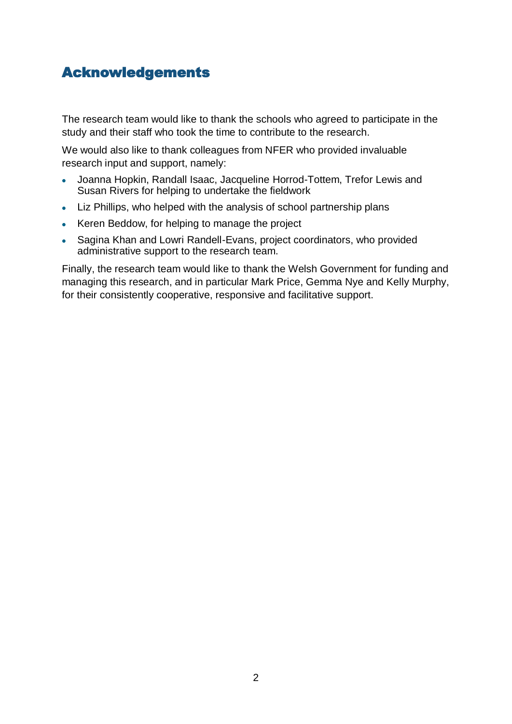# <span id="page-3-0"></span>Acknowledgements

The research team would like to thank the schools who agreed to participate in the study and their staff who took the time to contribute to the research.

We would also like to thank colleagues from NFER who provided invaluable research input and support, namely:

- Joanna Hopkin, Randall Isaac, Jacqueline Horrod-Tottem, Trefor Lewis and  $\bullet$ Susan Rivers for helping to undertake the fieldwork
- Liz Phillips, who helped with the analysis of school partnership plans
- Keren Beddow, for helping to manage the project
- Sagina Khan and Lowri Randell-Evans, project coordinators, who provided administrative support to the research team.

Finally, the research team would like to thank the Welsh Government for funding and managing this research, and in particular Mark Price, Gemma Nye and Kelly Murphy, for their consistently cooperative, responsive and facilitative support.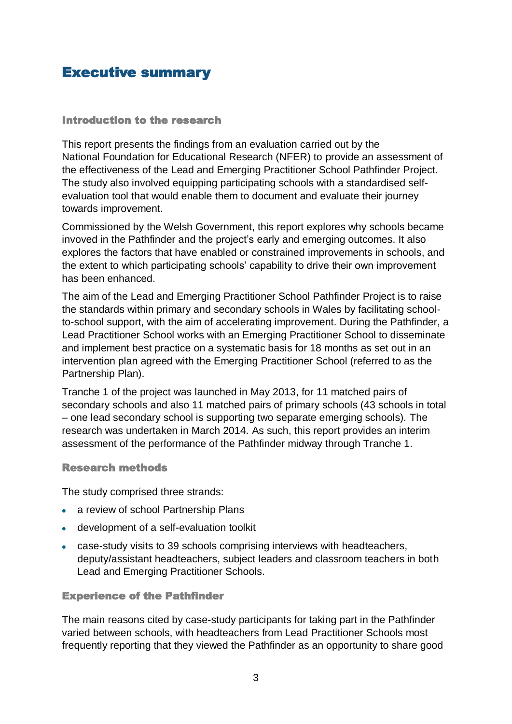# <span id="page-4-0"></span>Executive summary

#### Introduction to the research

This report presents the findings from an evaluation carried out by the National Foundation for Educational Research (NFER) to provide an assessment of the effectiveness of the Lead and Emerging Practitioner School Pathfinder Project. The study also involved equipping participating schools with a standardised selfevaluation tool that would enable them to document and evaluate their journey towards improvement.

Commissioned by the Welsh Government, this report explores why schools became invoved in the Pathfinder and the project's early and emerging outcomes. It also explores the factors that have enabled or constrained improvements in schools, and the extent to which participating schools' capability to drive their own improvement has been enhanced.

The aim of the Lead and Emerging Practitioner School Pathfinder Project is to raise the standards within primary and secondary schools in Wales by facilitating schoolto-school support, with the aim of accelerating improvement. During the Pathfinder, a Lead Practitioner School works with an Emerging Practitioner School to disseminate and implement best practice on a systematic basis for 18 months as set out in an intervention plan agreed with the Emerging Practitioner School (referred to as the Partnership Plan).

Tranche 1 of the project was launched in May 2013, for 11 matched pairs of secondary schools and also 11 matched pairs of primary schools (43 schools in total – one lead secondary school is supporting two separate emerging schools). The research was undertaken in March 2014. As such, this report provides an interim assessment of the performance of the Pathfinder midway through Tranche 1.

#### Research methods

The study comprised three strands:

- a review of school Partnership Plans
- development of a self-evaluation toolkit
- case-study visits to 39 schools comprising interviews with headteachers, deputy/assistant headteachers, subject leaders and classroom teachers in both Lead and Emerging Practitioner Schools.

#### Experience of the Pathfinder

The main reasons cited by case-study participants for taking part in the Pathfinder varied between schools, with headteachers from Lead Practitioner Schools most frequently reporting that they viewed the Pathfinder as an opportunity to share good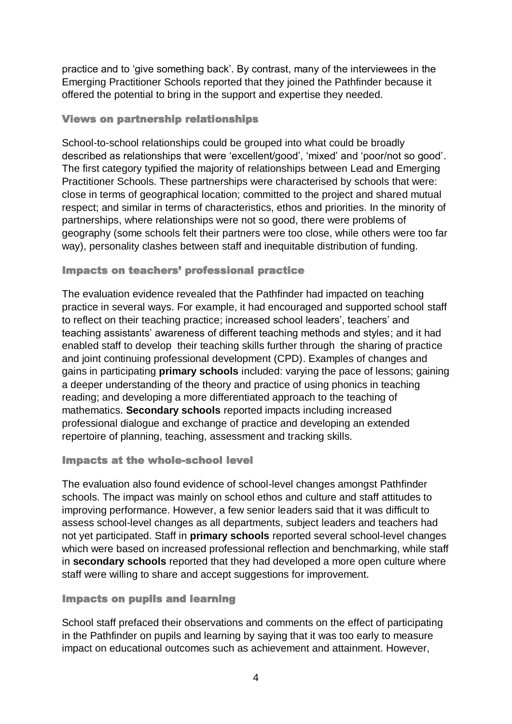practice and to 'give something back'. By contrast, many of the interviewees in the Emerging Practitioner Schools reported that they joined the Pathfinder because it offered the potential to bring in the support and expertise they needed.

#### Views on partnership relationships

School-to-school relationships could be grouped into what could be broadly described as relationships that were 'excellent/good', 'mixed' and 'poor/not so good'. The first category typified the majority of relationships between Lead and Emerging Practitioner Schools. These partnerships were characterised by schools that were: close in terms of geographical location; committed to the project and shared mutual respect; and similar in terms of characteristics, ethos and priorities. In the minority of partnerships, where relationships were not so good, there were problems of geography (some schools felt their partners were too close, while others were too far way), personality clashes between staff and inequitable distribution of funding.

#### Impacts on teachers' professional practice

The evaluation evidence revealed that the Pathfinder had impacted on teaching practice in several ways. For example, it had encouraged and supported school staff to reflect on their teaching practice; increased school leaders', teachers' and teaching assistants' awareness of different teaching methods and styles; and it had enabled staff to develop their teaching skills further through the sharing of practice and joint continuing professional development (CPD). Examples of changes and gains in participating **primary schools** included: varying the pace of lessons; gaining a deeper understanding of the theory and practice of using phonics in teaching reading; and developing a more differentiated approach to the teaching of mathematics. **Secondary schools** reported impacts including increased professional dialogue and exchange of practice and developing an extended repertoire of planning, teaching, assessment and tracking skills.

#### Impacts at the whole-school level

The evaluation also found evidence of school-level changes amongst Pathfinder schools. The impact was mainly on school ethos and culture and staff attitudes to improving performance. However, a few senior leaders said that it was difficult to assess school-level changes as all departments, subject leaders and teachers had not yet participated. Staff in **primary schools** reported several school-level changes which were based on increased professional reflection and benchmarking, while staff in **secondary schools** reported that they had developed a more open culture where staff were willing to share and accept suggestions for improvement.

#### Impacts on pupils and learning

School staff prefaced their observations and comments on the effect of participating in the Pathfinder on pupils and learning by saying that it was too early to measure impact on educational outcomes such as achievement and attainment. However,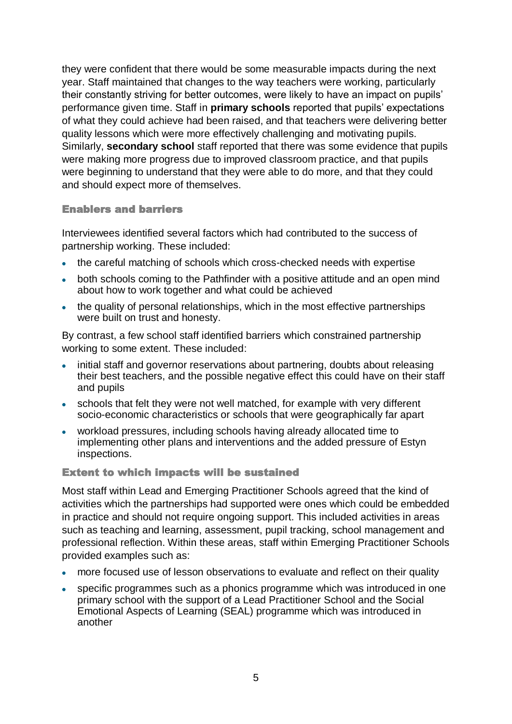they were confident that there would be some measurable impacts during the next year. Staff maintained that changes to the way teachers were working, particularly their constantly striving for better outcomes, were likely to have an impact on pupils' performance given time. Staff in **primary schools** reported that pupils' expectations of what they could achieve had been raised, and that teachers were delivering better quality lessons which were more effectively challenging and motivating pupils. Similarly, **secondary school** staff reported that there was some evidence that pupils were making more progress due to improved classroom practice, and that pupils were beginning to understand that they were able to do more, and that they could and should expect more of themselves.

#### Enablers and barriers

Interviewees identified several factors which had contributed to the success of partnership working. These included:

- the careful matching of schools which cross-checked needs with expertise
- both schools coming to the Pathfinder with a positive attitude and an open mind about how to work together and what could be achieved
- the quality of personal relationships, which in the most effective partnerships were built on trust and honesty.

By contrast, a few school staff identified barriers which constrained partnership working to some extent. These included:

- initial staff and governor reservations about partnering, doubts about releasing their best teachers, and the possible negative effect this could have on their staff and pupils
- schools that felt they were not well matched, for example with very different socio-economic characteristics or schools that were geographically far apart
- workload pressures, including schools having already allocated time to implementing other plans and interventions and the added pressure of Estyn inspections.

#### Extent to which impacts will be sustained

Most staff within Lead and Emerging Practitioner Schools agreed that the kind of activities which the partnerships had supported were ones which could be embedded in practice and should not require ongoing support. This included activities in areas such as teaching and learning, assessment, pupil tracking, school management and professional reflection. Within these areas, staff within Emerging Practitioner Schools provided examples such as:

- more focused use of lesson observations to evaluate and reflect on their quality
- specific programmes such as a phonics programme which was introduced in one primary school with the support of a Lead Practitioner School and the Social Emotional Aspects of Learning (SEAL) programme which was introduced in another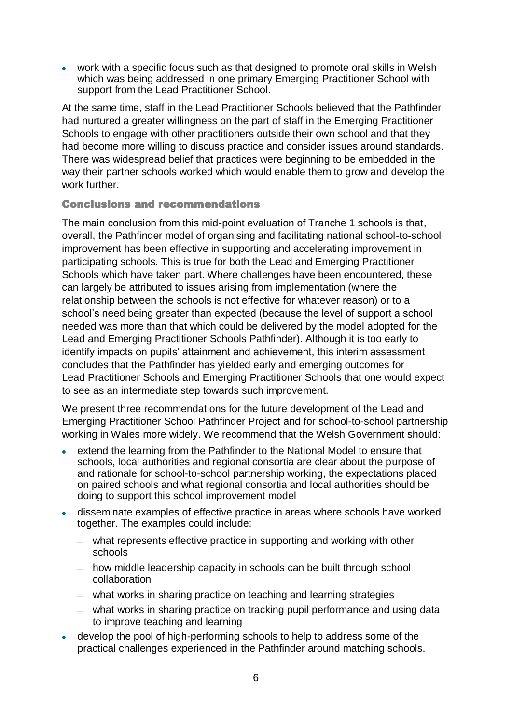work with a specific focus such as that designed to promote oral skills in Welsh which was being addressed in one primary Emerging Practitioner School with support from the Lead Practitioner School.

At the same time, staff in the Lead Practitioner Schools believed that the Pathfinder had nurtured a greater willingness on the part of staff in the Emerging Practitioner Schools to engage with other practitioners outside their own school and that they had become more willing to discuss practice and consider issues around standards. There was widespread belief that practices were beginning to be embedded in the way their partner schools worked which would enable them to grow and develop the work further.

#### Conclusions and recommendations

The main conclusion from this mid-point evaluation of Tranche 1 schools is that, overall, the Pathfinder model of organising and facilitating national school-to-school improvement has been effective in supporting and accelerating improvement in participating schools. This is true for both the Lead and Emerging Practitioner Schools which have taken part. Where challenges have been encountered, these can largely be attributed to issues arising from implementation (where the relationship between the schools is not effective for whatever reason) or to a school's need being greater than expected (because the level of support a school needed was more than that which could be delivered by the model adopted for the Lead and Emerging Practitioner Schools Pathfinder). Although it is too early to identify impacts on pupils' attainment and achievement, this interim assessment concludes that the Pathfinder has yielded early and emerging outcomes for Lead Practitioner Schools and Emerging Practitioner Schools that one would expect to see as an intermediate step towards such improvement.

We present three recommendations for the future development of the Lead and Emerging Practitioner School Pathfinder Project and for school-to-school partnership working in Wales more widely. We recommend that the Welsh Government should:

- extend the learning from the Pathfinder to the National Model to ensure that schools, local authorities and regional consortia are clear about the purpose of and rationale for school-to-school partnership working, the expectations placed on paired schools and what regional consortia and local authorities should be doing to support this school improvement model
- disseminate examples of effective practice in areas where schools have worked together. The examples could include:
	- what represents effective practice in supporting and working with other schools
	- how middle leadership capacity in schools can be built through school collaboration
	- what works in sharing practice on teaching and learning strategies
	- what works in sharing practice on tracking pupil performance and using data to improve teaching and learning
- develop the pool of high-performing schools to help to address some of the practical challenges experienced in the Pathfinder around matching schools.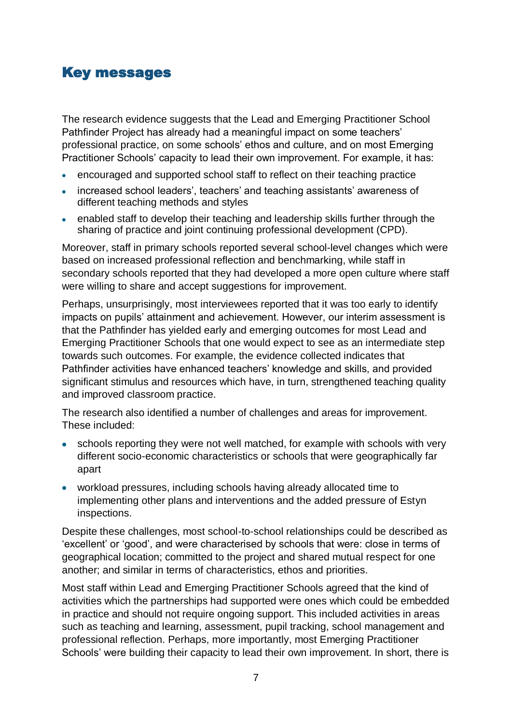# <span id="page-8-0"></span>Key messages

The research evidence suggests that the Lead and Emerging Practitioner School Pathfinder Project has already had a meaningful impact on some teachers' professional practice, on some schools' ethos and culture, and on most Emerging Practitioner Schools' capacity to lead their own improvement. For example, it has:

- encouraged and supported school staff to reflect on their teaching practice  $\bullet$
- increased school leaders', teachers' and teaching assistants' awareness of different teaching methods and styles
- enabled staff to develop their teaching and leadership skills further through the sharing of practice and joint continuing professional development (CPD).

Moreover, staff in primary schools reported several school-level changes which were based on increased professional reflection and benchmarking, while staff in secondary schools reported that they had developed a more open culture where staff were willing to share and accept suggestions for improvement.

Perhaps, unsurprisingly, most interviewees reported that it was too early to identify impacts on pupils' attainment and achievement. However, our interim assessment is that the Pathfinder has yielded early and emerging outcomes for most Lead and Emerging Practitioner Schools that one would expect to see as an intermediate step towards such outcomes. For example, the evidence collected indicates that Pathfinder activities have enhanced teachers' knowledge and skills, and provided significant stimulus and resources which have, in turn, strengthened teaching quality and improved classroom practice.

The research also identified a number of challenges and areas for improvement. These included:

- schools reporting they were not well matched, for example with schools with very different socio-economic characteristics or schools that were geographically far apart
- workload pressures, including schools having already allocated time to implementing other plans and interventions and the added pressure of Estyn inspections.

Despite these challenges, most school-to-school relationships could be described as 'excellent' or 'good', and were characterised by schools that were: close in terms of geographical location; committed to the project and shared mutual respect for one another; and similar in terms of characteristics, ethos and priorities.

Most staff within Lead and Emerging Practitioner Schools agreed that the kind of activities which the partnerships had supported were ones which could be embedded in practice and should not require ongoing support. This included activities in areas such as teaching and learning, assessment, pupil tracking, school management and professional reflection. Perhaps, more importantly, most Emerging Practitioner Schools' were building their capacity to lead their own improvement. In short, there is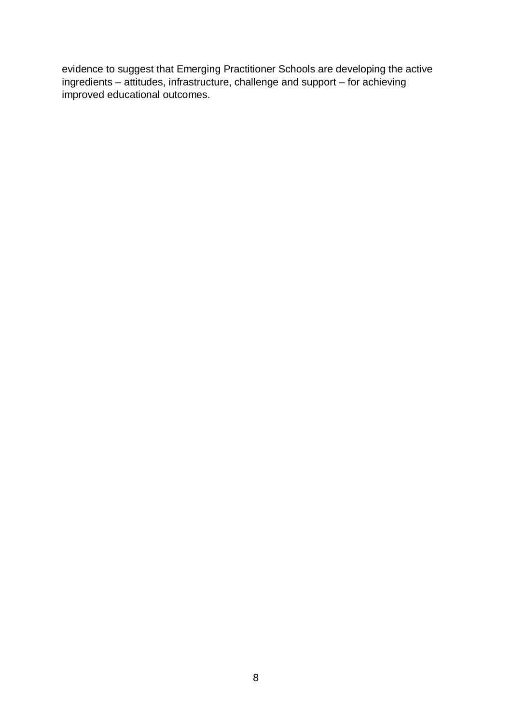evidence to suggest that Emerging Practitioner Schools are developing the active ingredients – attitudes, infrastructure, challenge and support – for achieving improved educational outcomes.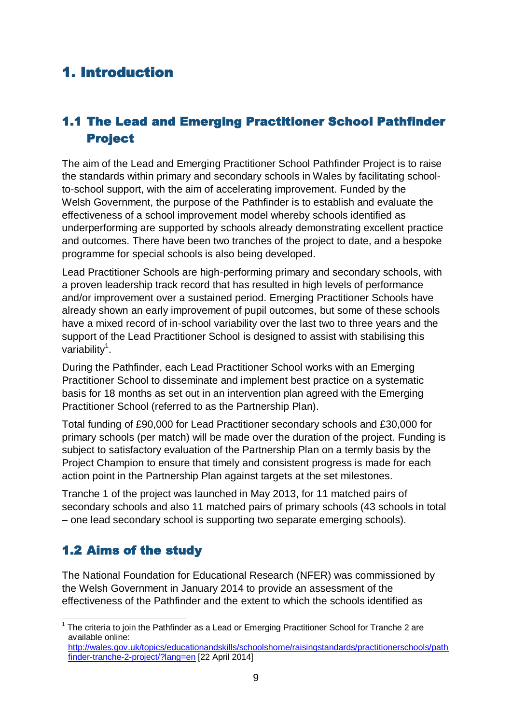# <span id="page-10-0"></span>1. Introduction

# <span id="page-10-1"></span>1.1 The Lead and Emerging Practitioner School Pathfinder Project

The aim of the Lead and Emerging Practitioner School Pathfinder Project is to raise the standards within primary and secondary schools in Wales by facilitating schoolto-school support, with the aim of accelerating improvement. Funded by the Welsh Government, the purpose of the Pathfinder is to establish and evaluate the effectiveness of a school improvement model whereby schools identified as underperforming are supported by schools already demonstrating excellent practice and outcomes. There have been two tranches of the project to date, and a bespoke programme for special schools is also being developed.

Lead Practitioner Schools are high-performing primary and secondary schools, with a proven leadership track record that has resulted in high levels of performance and/or improvement over a sustained period. Emerging Practitioner Schools have already shown an early improvement of pupil outcomes, but some of these schools have a mixed record of in-school variability over the last two to three years and the support of the Lead Practitioner School is designed to assist with stabilising this variability<sup>1</sup>.

During the Pathfinder, each Lead Practitioner School works with an Emerging Practitioner School to disseminate and implement best practice on a systematic basis for 18 months as set out in an intervention plan agreed with the Emerging Practitioner School (referred to as the Partnership Plan).

Total funding of £90,000 for Lead Practitioner secondary schools and £30,000 for primary schools (per match) will be made over the duration of the project. Funding is subject to satisfactory evaluation of the Partnership Plan on a termly basis by the Project Champion to ensure that timely and consistent progress is made for each action point in the Partnership Plan against targets at the set milestones.

Tranche 1 of the project was launched in May 2013, for 11 matched pairs of secondary schools and also 11 matched pairs of primary schools (43 schools in total – one lead secondary school is supporting two separate emerging schools).

# <span id="page-10-2"></span>1.2 Aims of the study

The National Foundation for Educational Research (NFER) was commissioned by the Welsh Government in January 2014 to provide an assessment of the effectiveness of the Pathfinder and the extent to which the schools identified as

 $\overline{1}$  $1$  The criteria to join the Pathfinder as a Lead or Emerging Practitioner School for Tranche 2 are available online:

[http://wales.gov.uk/topics/educationandskills/schoolshome/raisingstandards/practitionerschools/path](http://wales.gov.uk/topics/educationandskills/schoolshome/raisingstandards/practitionerschools/pathfinder-tranche-2-project/?lang=en) [finder-tranche-2-project/?lang=en](http://wales.gov.uk/topics/educationandskills/schoolshome/raisingstandards/practitionerschools/pathfinder-tranche-2-project/?lang=en) [22 April 2014]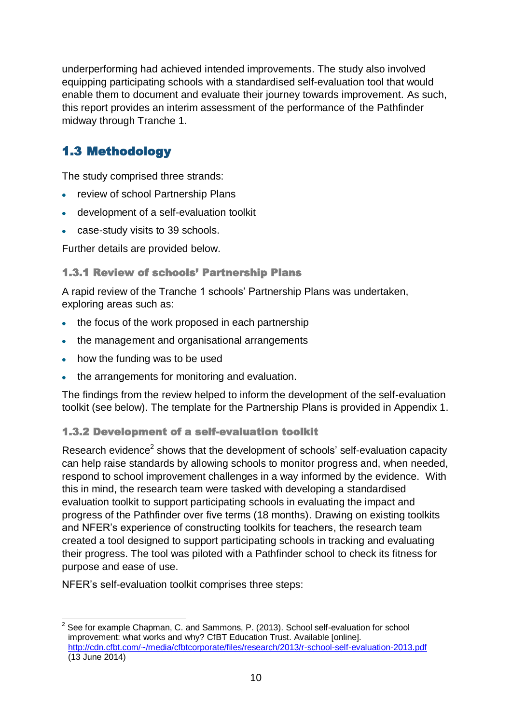underperforming had achieved intended improvements. The study also involved equipping participating schools with a standardised self-evaluation tool that would enable them to document and evaluate their journey towards improvement. As such, this report provides an interim assessment of the performance of the Pathfinder midway through Tranche 1.

# <span id="page-11-0"></span>1.3 Methodology

The study comprised three strands:

- review of school Partnership Plans
- development of a self-evaluation toolkit
- case-study visits to 39 schools.

Further details are provided below.

### 1.3.1 Review of schools' Partnership Plans

A rapid review of the Tranche 1 schools' Partnership Plans was undertaken, exploring areas such as:

- the focus of the work proposed in each partnership
- the management and organisational arrangements
- how the funding was to be used
- the arrangements for monitoring and evaluation.

The findings from the review helped to inform the development of the self-evaluation toolkit (see below). The template for the Partnership Plans is provided in Appendix 1.

### 1.3.2 Development of a self-evaluation toolkit

Research evidence<sup>2</sup> shows that the development of schools' self-evaluation capacity can help raise standards by allowing schools to monitor progress and, when needed, respond to school improvement challenges in a way informed by the evidence. With this in mind, the research team were tasked with developing a standardised evaluation toolkit to support participating schools in evaluating the impact and progress of the Pathfinder over five terms (18 months). Drawing on existing toolkits and NFER's experience of constructing toolkits for teachers, the research team created a tool designed to support participating schools in tracking and evaluating their progress. The tool was piloted with a Pathfinder school to check its fitness for purpose and ease of use.

NFER's self-evaluation toolkit comprises three steps:

 $\overline{a}$  $2$  See for example Chapman, C. and Sammons, P. (2013). School self-evaluation for school improvement: what works and why? CfBT Education Trust. Available [online]. <http://cdn.cfbt.com/~/media/cfbtcorporate/files/research/2013/r-school-self-evaluation-2013.pdf> (13 June 2014)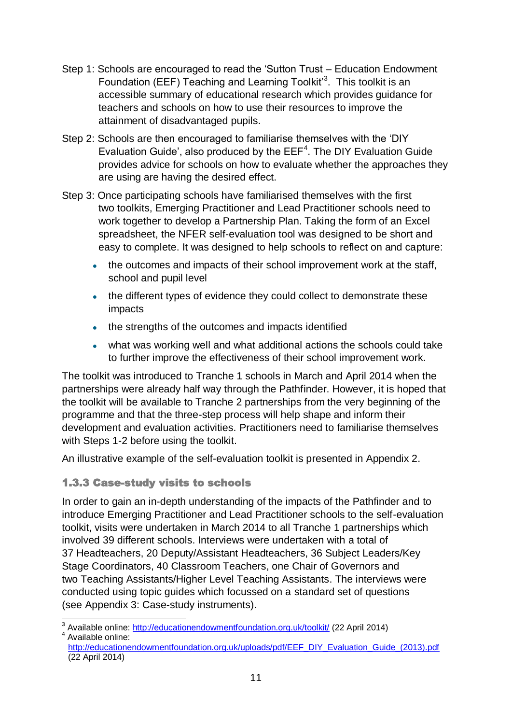- Step 1: Schools are encouraged to read the 'Sutton Trust Education Endowment Foundation (EEF) Teaching and Learning Toolkit<sup>3</sup>. This toolkit is an accessible summary of educational research which provides guidance for teachers and schools on how to use their resources to improve the attainment of disadvantaged pupils.
- Step 2: Schools are then encouraged to familiarise themselves with the 'DIY Evaluation Guide', also produced by the  $EEF<sup>4</sup>$ . The DIY Evaluation Guide provides advice for schools on how to evaluate whether the approaches they are using are having the desired effect.
- Step 3: Once participating schools have familiarised themselves with the first two toolkits, Emerging Practitioner and Lead Practitioner schools need to work together to develop a Partnership Plan. Taking the form of an Excel spreadsheet, the NFER self-evaluation tool was designed to be short and easy to complete. It was designed to help schools to reflect on and capture:
	- the outcomes and impacts of their school improvement work at the staff, school and pupil level
	- the different types of evidence they could collect to demonstrate these impacts
	- the strengths of the outcomes and impacts identified
	- $\bullet$ what was working well and what additional actions the schools could take to further improve the effectiveness of their school improvement work.

The toolkit was introduced to Tranche 1 schools in March and April 2014 when the partnerships were already half way through the Pathfinder. However, it is hoped that the toolkit will be available to Tranche 2 partnerships from the very beginning of the programme and that the three-step process will help shape and inform their development and evaluation activities. Practitioners need to familiarise themselves with Steps 1-2 before using the toolkit.

An illustrative example of the self-evaluation toolkit is presented in Appendix 2.

### 1.3.3 Case-study visits to schools

In order to gain an in-depth understanding of the impacts of the Pathfinder and to introduce Emerging Practitioner and Lead Practitioner schools to the self-evaluation toolkit, visits were undertaken in March 2014 to all Tranche 1 partnerships which involved 39 different schools. Interviews were undertaken with a total of 37 Headteachers, 20 Deputy/Assistant Headteachers, 36 Subject Leaders/Key Stage Coordinators, 40 Classroom Teachers, one Chair of Governors and two Teaching Assistants/Higher Level Teaching Assistants. The interviews were conducted using topic guides which focussed on a standard set of questions (see Appendix 3: Case-study instruments).

 $\overline{1}$ <sup>3</sup> Available online:<http://educationendowmentfoundation.org.uk/toolkit/> (22 April 2014) <sup>4</sup> Available online:

[http://educationendowmentfoundation.org.uk/uploads/pdf/EEF\\_DIY\\_Evaluation\\_Guide\\_\(2013\).pdf](http://educationendowmentfoundation.org.uk/uploads/pdf/EEF_DIY_Evaluation_Guide_(2013).pdf) (22 April 2014)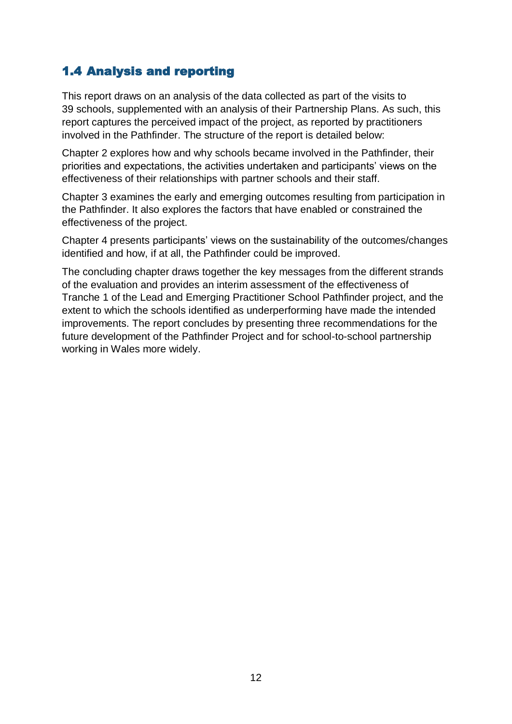# <span id="page-13-0"></span>1.4 Analysis and reporting

This report draws on an analysis of the data collected as part of the visits to 39 schools, supplemented with an analysis of their Partnership Plans. As such, this report captures the perceived impact of the project, as reported by practitioners involved in the Pathfinder. The structure of the report is detailed below:

Chapter 2 explores how and why schools became involved in the Pathfinder, their priorities and expectations, the activities undertaken and participants' views on the effectiveness of their relationships with partner schools and their staff.

Chapter 3 examines the early and emerging outcomes resulting from participation in the Pathfinder. It also explores the factors that have enabled or constrained the effectiveness of the project.

Chapter 4 presents participants' views on the sustainability of the outcomes/changes identified and how, if at all, the Pathfinder could be improved.

The concluding chapter draws together the key messages from the different strands of the evaluation and provides an interim assessment of the effectiveness of Tranche 1 of the Lead and Emerging Practitioner School Pathfinder project, and the extent to which the schools identified as underperforming have made the intended improvements. The report concludes by presenting three recommendations for the future development of the Pathfinder Project and for school-to-school partnership working in Wales more widely.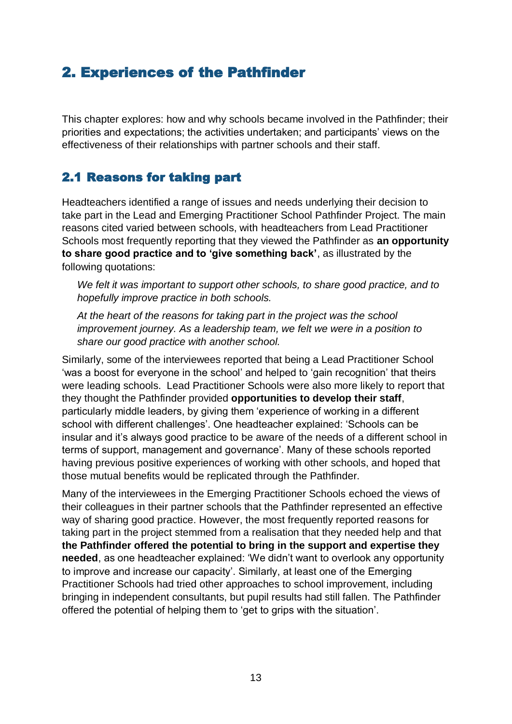# <span id="page-14-0"></span>2. Experiences of the Pathfinder

This chapter explores: how and why schools became involved in the Pathfinder; their priorities and expectations; the activities undertaken; and participants' views on the effectiveness of their relationships with partner schools and their staff.

## <span id="page-14-1"></span>2.1 Reasons for taking part

Headteachers identified a range of issues and needs underlying their decision to take part in the Lead and Emerging Practitioner School Pathfinder Project. The main reasons cited varied between schools, with headteachers from Lead Practitioner Schools most frequently reporting that they viewed the Pathfinder as **an opportunity to share good practice and to 'give something back'**, as illustrated by the following quotations:

*We felt it was important to support other schools, to share good practice, and to hopefully improve practice in both schools.* 

*At the heart of the reasons for taking part in the project was the school improvement journey. As a leadership team, we felt we were in a position to share our good practice with another school.* 

Similarly, some of the interviewees reported that being a Lead Practitioner School 'was a boost for everyone in the school' and helped to 'gain recognition' that theirs were leading schools. Lead Practitioner Schools were also more likely to report that they thought the Pathfinder provided **opportunities to develop their staff**, particularly middle leaders, by giving them 'experience of working in a different school with different challenges'. One headteacher explained: 'Schools can be insular and it's always good practice to be aware of the needs of a different school in terms of support, management and governance'. Many of these schools reported having previous positive experiences of working with other schools, and hoped that those mutual benefits would be replicated through the Pathfinder.

Many of the interviewees in the Emerging Practitioner Schools echoed the views of their colleagues in their partner schools that the Pathfinder represented an effective way of sharing good practice. However, the most frequently reported reasons for taking part in the project stemmed from a realisation that they needed help and that **the Pathfinder offered the potential to bring in the support and expertise they needed**, as one headteacher explained: 'We didn't want to overlook any opportunity to improve and increase our capacity'. Similarly, at least one of the Emerging Practitioner Schools had tried other approaches to school improvement, including bringing in independent consultants, but pupil results had still fallen. The Pathfinder offered the potential of helping them to 'get to grips with the situation'.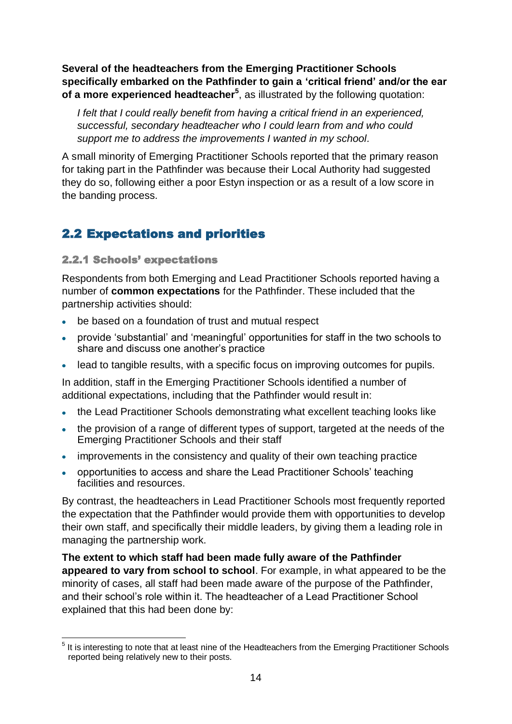**Several of the headteachers from the Emerging Practitioner Schools specifically embarked on the Pathfinder to gain a 'critical friend' and/or the ear of a more experienced headteacher<sup>5</sup>** , as illustrated by the following quotation:

*I felt that I could really benefit from having a critical friend in an experienced, successful, secondary headteacher who I could learn from and who could support me to address the improvements I wanted in my school.* 

A small minority of Emerging Practitioner Schools reported that the primary reason for taking part in the Pathfinder was because their Local Authority had suggested they do so, following either a poor Estyn inspection or as a result of a low score in the banding process.

## <span id="page-15-0"></span>2.2 Expectations and priorities

#### 2.2.1 Schools' expectations

Respondents from both Emerging and Lead Practitioner Schools reported having a number of **common expectations** for the Pathfinder. These included that the partnership activities should:

- be based on a foundation of trust and mutual respect
- provide 'substantial' and 'meaningful' opportunities for staff in the two schools to share and discuss one another's practice
- lead to tangible results, with a specific focus on improving outcomes for pupils.

In addition, staff in the Emerging Practitioner Schools identified a number of additional expectations, including that the Pathfinder would result in:

- the Lead Practitioner Schools demonstrating what excellent teaching looks like
- the provision of a range of different types of support, targeted at the needs of the Emerging Practitioner Schools and their staff
- improvements in the consistency and quality of their own teaching practice
- opportunities to access and share the Lead Practitioner Schools' teaching facilities and resources.

By contrast, the headteachers in Lead Practitioner Schools most frequently reported the expectation that the Pathfinder would provide them with opportunities to develop their own staff, and specifically their middle leaders, by giving them a leading role in managing the partnership work.

**The extent to which staff had been made fully aware of the Pathfinder appeared to vary from school to school**. For example, in what appeared to be the minority of cases, all staff had been made aware of the purpose of the Pathfinder, and their school's role within it. The headteacher of a Lead Practitioner School explained that this had been done by:

 5 It is interesting to note that at least nine of the Headteachers from the Emerging Practitioner Schools reported being relatively new to their posts.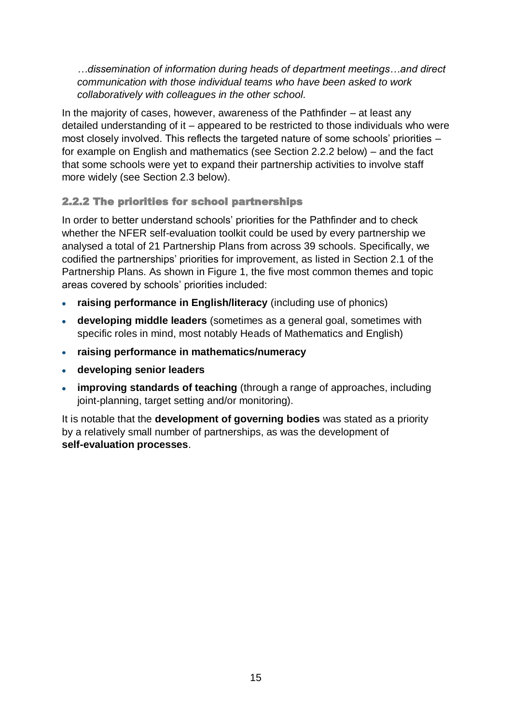*…dissemination of information during heads of department meetings…and direct communication with those individual teams who have been asked to work collaboratively with colleagues in the other school.*

In the majority of cases, however, awareness of the Pathfinder – at least any detailed understanding of it – appeared to be restricted to those individuals who were most closely involved. This reflects the targeted nature of some schools' priorities – for example on English and mathematics (see Section 2.2.2 below) – and the fact that some schools were yet to expand their partnership activities to involve staff more widely (see Section 2.3 below).

### 2.2.2 The priorities for school partnerships

In order to better understand schools' priorities for the Pathfinder and to check whether the NFER self-evaluation toolkit could be used by every partnership we analysed a total of 21 Partnership Plans from across 39 schools. Specifically, we codified the partnerships' priorities for improvement, as listed in Section 2.1 of the Partnership Plans. As shown in Figure 1, the five most common themes and topic areas covered by schools' priorities included:

- **raising performance in English/literacy** (including use of phonics)
- **developing middle leaders** (sometimes as a general goal, sometimes with specific roles in mind, most notably Heads of Mathematics and English)
- **raising performance in mathematics/numeracy**
- **developing senior leaders**
- **improving standards of teaching** (through a range of approaches, including joint-planning, target setting and/or monitoring).

It is notable that the **development of governing bodies** was stated as a priority by a relatively small number of partnerships, as was the development of **self-evaluation processes**.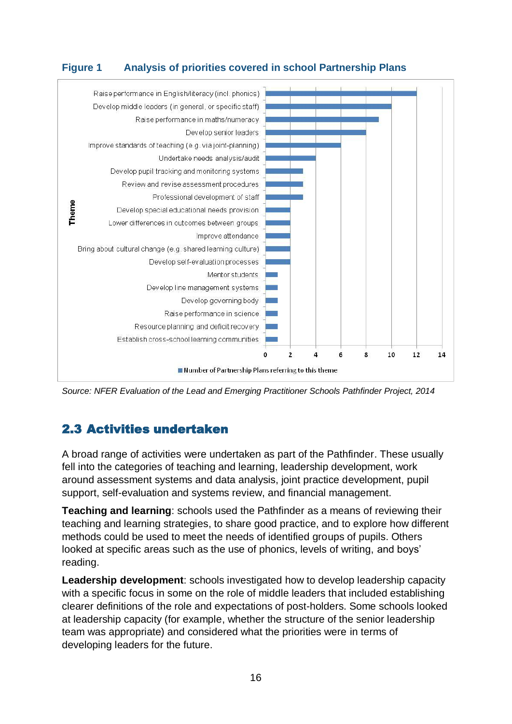### **Figure 1 Analysis of priorities covered in school Partnership Plans**



*Source: NFER Evaluation of the Lead and Emerging Practitioner Schools Pathfinder Project, 2014*

# <span id="page-17-0"></span>2.3 Activities undertaken

A broad range of activities were undertaken as part of the Pathfinder. These usually fell into the categories of teaching and learning, leadership development, work around assessment systems and data analysis, joint practice development, pupil support, self-evaluation and systems review, and financial management.

**Teaching and learning**: schools used the Pathfinder as a means of reviewing their teaching and learning strategies, to share good practice, and to explore how different methods could be used to meet the needs of identified groups of pupils. Others looked at specific areas such as the use of phonics, levels of writing, and boys' reading.

**Leadership development**: schools investigated how to develop leadership capacity with a specific focus in some on the role of middle leaders that included establishing clearer definitions of the role and expectations of post-holders. Some schools looked at leadership capacity (for example, whether the structure of the senior leadership team was appropriate) and considered what the priorities were in terms of developing leaders for the future.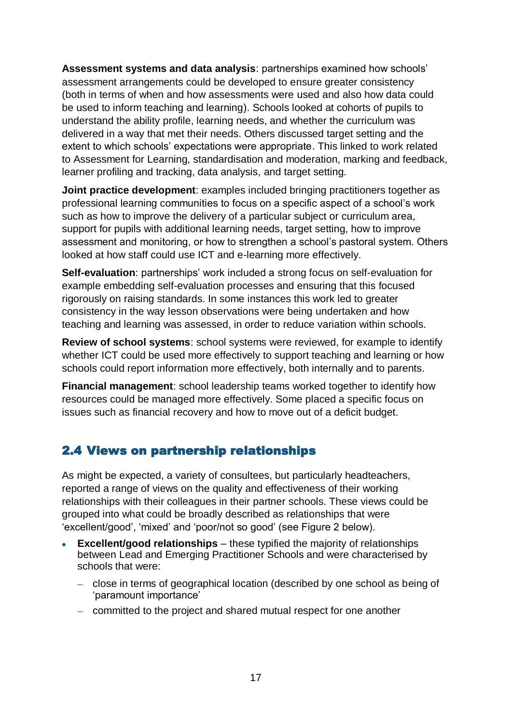**Assessment systems and data analysis**: partnerships examined how schools' assessment arrangements could be developed to ensure greater consistency (both in terms of when and how assessments were used and also how data could be used to inform teaching and learning). Schools looked at cohorts of pupils to understand the ability profile, learning needs, and whether the curriculum was delivered in a way that met their needs. Others discussed target setting and the extent to which schools' expectations were appropriate. This linked to work related to Assessment for Learning, standardisation and moderation, marking and feedback, learner profiling and tracking, data analysis, and target setting.

**Joint practice development**: examples included bringing practitioners together as professional learning communities to focus on a specific aspect of a school's work such as how to improve the delivery of a particular subject or curriculum area, support for pupils with additional learning needs, target setting, how to improve assessment and monitoring, or how to strengthen a school's pastoral system. Others looked at how staff could use ICT and e-learning more effectively.

**Self-evaluation**: partnerships' work included a strong focus on self-evaluation for example embedding self-evaluation processes and ensuring that this focused rigorously on raising standards. In some instances this work led to greater consistency in the way lesson observations were being undertaken and how teaching and learning was assessed, in order to reduce variation within schools.

**Review of school systems**: school systems were reviewed, for example to identify whether ICT could be used more effectively to support teaching and learning or how schools could report information more effectively, both internally and to parents.

**Financial management**: school leadership teams worked together to identify how resources could be managed more effectively. Some placed a specific focus on issues such as financial recovery and how to move out of a deficit budget.

## <span id="page-18-0"></span>2.4 Views on partnership relationships

As might be expected, a variety of consultees, but particularly headteachers, reported a range of views on the quality and effectiveness of their working relationships with their colleagues in their partner schools. These views could be grouped into what could be broadly described as relationships that were 'excellent/good', 'mixed' and 'poor/not so good' (see Figure 2 below).

- **Excellent/good relationships** these typified the majority of relationships between Lead and Emerging Practitioner Schools and were characterised by schools that were:
	- close in terms of geographical location (described by one school as being of 'paramount importance'
	- committed to the project and shared mutual respect for one another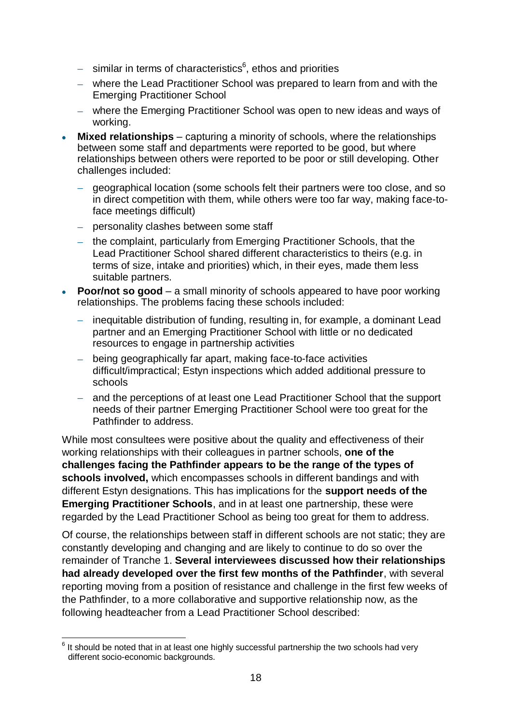- similar in terms of characteristics $6$ , ethos and priorities
- where the Lead Practitioner School was prepared to learn from and with the Emerging Practitioner School
- where the Emerging Practitioner School was open to new ideas and ways of working.
- **Mixed relationships** capturing a minority of schools, where the relationships between some staff and departments were reported to be good, but where relationships between others were reported to be poor or still developing. Other challenges included:
	- geographical location (some schools felt their partners were too close, and so in direct competition with them, while others were too far way, making face-toface meetings difficult)
	- personality clashes between some staff
	- the complaint, particularly from Emerging Practitioner Schools, that the Lead Practitioner School shared different characteristics to theirs (e.g. in terms of size, intake and priorities) which, in their eyes, made them less suitable partners.
- **Poor/not so good**  a small minority of schools appeared to have poor working relationships. The problems facing these schools included:
	- inequitable distribution of funding, resulting in, for example, a dominant Lead  $\equiv$  . partner and an Emerging Practitioner School with little or no dedicated resources to engage in partnership activities
	- being geographically far apart, making face-to-face activities difficult/impractical; Estyn inspections which added additional pressure to schools
	- and the perceptions of at least one Lead Practitioner School that the support needs of their partner Emerging Practitioner School were too great for the Pathfinder to address.

While most consultees were positive about the quality and effectiveness of their working relationships with their colleagues in partner schools, **one of the challenges facing the Pathfinder appears to be the range of the types of schools involved,** which encompasses schools in different bandings and with different Estyn designations. This has implications for the **support needs of the Emerging Practitioner Schools**, and in at least one partnership, these were regarded by the Lead Practitioner School as being too great for them to address.

Of course, the relationships between staff in different schools are not static; they are constantly developing and changing and are likely to continue to do so over the remainder of Tranche 1. **Several interviewees discussed how their relationships had already developed over the first few months of the Pathfinder**, with several reporting moving from a position of resistance and challenge in the first few weeks of the Pathfinder, to a more collaborative and supportive relationship now, as the following headteacher from a Lead Practitioner School described:

 6 It should be noted that in at least one highly successful partnership the two schools had very different socio-economic backgrounds.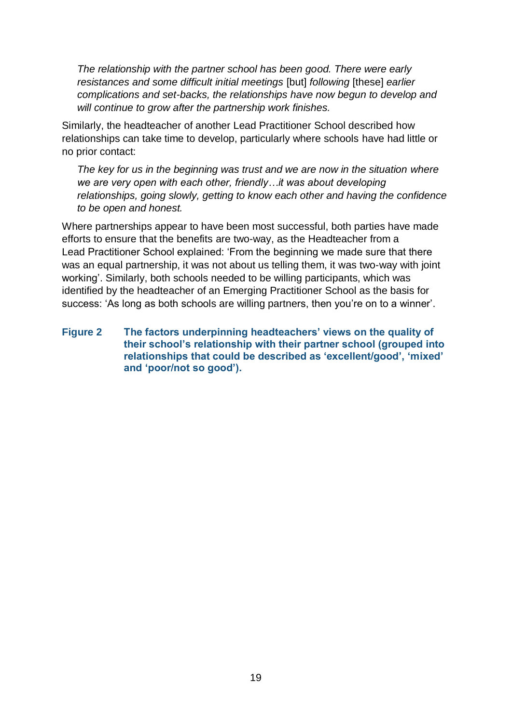*The relationship with the partner school has been good. There were early resistances and some difficult initial meetings* [but] *following* [these] *earlier complications and set-backs, the relationships have now begun to develop and will continue to grow after the partnership work finishes.* 

Similarly, the headteacher of another Lead Practitioner School described how relationships can take time to develop, particularly where schools have had little or no prior contact:

*The key for us in the beginning was trust and we are now in the situation where we are very open with each other, friendly…it was about developing relationships, going slowly, getting to know each other and having the confidence to be open and honest.* 

Where partnerships appear to have been most successful, both parties have made efforts to ensure that the benefits are two-way, as the Headteacher from a Lead Practitioner School explained: 'From the beginning we made sure that there was an equal partnership, it was not about us telling them, it was two-way with joint working'. Similarly, both schools needed to be willing participants, which was identified by the headteacher of an Emerging Practitioner School as the basis for success: 'As long as both schools are willing partners, then you're on to a winner'.

**Figure 2 The factors underpinning headteachers' views on the quality of their school's relationship with their partner school (grouped into relationships that could be described as 'excellent/good', 'mixed' and 'poor/not so good').**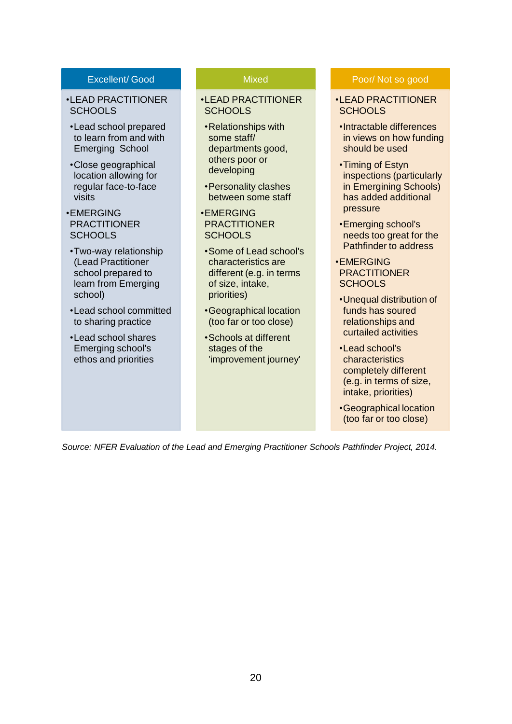#### Excellent/ Good

- •LEAD PRACTITIONER **SCHOOLS**
- •Lead school prepared to learn from and with Emerging School
- •Close geographical location allowing for regular face-to-face visits
- •EMERGING PRACTITIONER **SCHOOLS**
- •Two-way relationship (Lead Practitioner school prepared to learn from Emerging school)
- •Lead school committed to sharing practice
- •Lead school shares Emerging school's ethos and priorities

#### **Mixed**

#### •LEAD PRACTITIONER **SCHOOLS**

- •Relationships with some staff/ departments good, others poor or developing
- •Personality clashes between some staff
- •EMERGING **PRACTITIONER SCHOOLS**
- •Some of Lead school's characteristics are different (e.g. in terms of size, intake, priorities)
- •Geographical location (too far or too close)
- •Schools at different stages of the 'improvement journey'

#### Poor/ Not so good

- •LEAD PRACTITIONER SCHOOLS
- •Intractable differences in views on how funding should be used
- •Timing of Estyn inspections (particularly in Emergining Schools) has added additional pressure
- •Emerging school's needs too great for the Pathfinder to address
- •EMERGING **PRACTITIONER SCHOOLS**
- •Unequal distribution of funds has soured relationships and curtailed activities
- •Lead school's characteristics completely different (e.g. in terms of size, intake, priorities)
- •Geographical location (too far or too close)

*Source: NFER Evaluation of the Lead and Emerging Practitioner Schools Pathfinder Project, 2014.*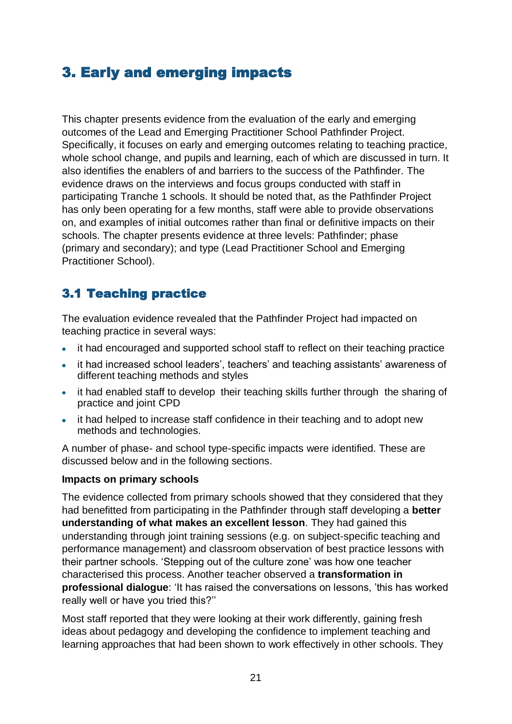# <span id="page-22-0"></span>3. Early and emerging impacts

This chapter presents evidence from the evaluation of the early and emerging outcomes of the Lead and Emerging Practitioner School Pathfinder Project. Specifically, it focuses on early and emerging outcomes relating to teaching practice, whole school change, and pupils and learning, each of which are discussed in turn. It also identifies the enablers of and barriers to the success of the Pathfinder. The evidence draws on the interviews and focus groups conducted with staff in participating Tranche 1 schools. It should be noted that, as the Pathfinder Project has only been operating for a few months, staff were able to provide observations on, and examples of initial outcomes rather than final or definitive impacts on their schools. The chapter presents evidence at three levels: Pathfinder; phase (primary and secondary); and type (Lead Practitioner School and Emerging Practitioner School).

# <span id="page-22-1"></span>3.1 Teaching practice

The evaluation evidence revealed that the Pathfinder Project had impacted on teaching practice in several ways:

- it had encouraged and supported school staff to reflect on their teaching practice
- it had increased school leaders', teachers' and teaching assistants' awareness of different teaching methods and styles
- it had enabled staff to develop their teaching skills further through the sharing of practice and joint CPD
- it had helped to increase staff confidence in their teaching and to adopt new methods and technologies.

A number of phase- and school type-specific impacts were identified. These are discussed below and in the following sections.

#### **Impacts on primary schools**

The evidence collected from primary schools showed that they considered that they had benefitted from participating in the Pathfinder through staff developing a **better understanding of what makes an excellent lesson**. They had gained this understanding through joint training sessions (e.g. on subject-specific teaching and performance management) and classroom observation of best practice lessons with their partner schools. 'Stepping out of the culture zone' was how one teacher characterised this process. Another teacher observed a **transformation in professional dialogue**: 'It has raised the conversations on lessons, 'this has worked really well or have you tried this?''

Most staff reported that they were looking at their work differently, gaining fresh ideas about pedagogy and developing the confidence to implement teaching and learning approaches that had been shown to work effectively in other schools. They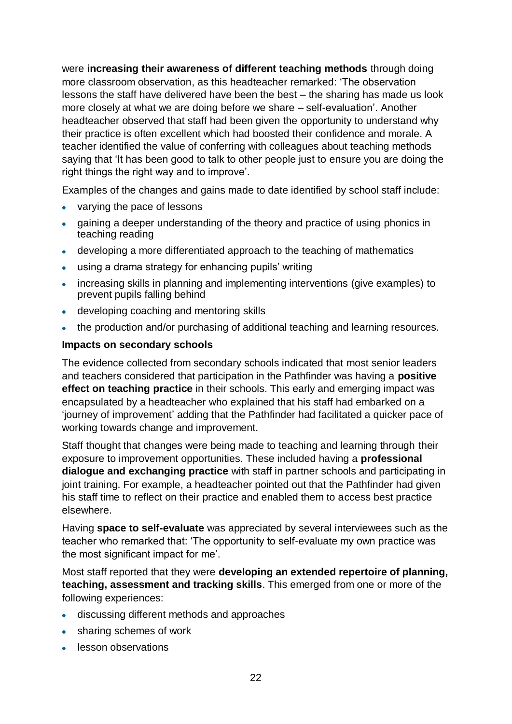were **increasing their awareness of different teaching methods** through doing more classroom observation, as this headteacher remarked: 'The observation lessons the staff have delivered have been the best – the sharing has made us look more closely at what we are doing before we share – self-evaluation'. Another headteacher observed that staff had been given the opportunity to understand why their practice is often excellent which had boosted their confidence and morale. A teacher identified the value of conferring with colleagues about teaching methods saying that 'It has been good to talk to other people just to ensure you are doing the right things the right way and to improve'.

Examples of the changes and gains made to date identified by school staff include:

- varying the pace of lessons
- gaining a deeper understanding of the theory and practice of using phonics in teaching reading
- developing a more differentiated approach to the teaching of mathematics
- using a drama strategy for enhancing pupils' writing
- increasing skills in planning and implementing interventions (give examples) to prevent pupils falling behind
- developing coaching and mentoring skills
- the production and/or purchasing of additional teaching and learning resources.

### **Impacts on secondary schools**

The evidence collected from secondary schools indicated that most senior leaders and teachers considered that participation in the Pathfinder was having a **positive effect on teaching practice** in their schools. This early and emerging impact was encapsulated by a headteacher who explained that his staff had embarked on a 'journey of improvement' adding that the Pathfinder had facilitated a quicker pace of working towards change and improvement.

Staff thought that changes were being made to teaching and learning through their exposure to improvement opportunities. These included having a **professional dialogue and exchanging practice** with staff in partner schools and participating in joint training. For example, a headteacher pointed out that the Pathfinder had given his staff time to reflect on their practice and enabled them to access best practice elsewhere.

Having **space to self-evaluate** was appreciated by several interviewees such as the teacher who remarked that: 'The opportunity to self-evaluate my own practice was the most significant impact for me'.

Most staff reported that they were **developing an extended repertoire of planning, teaching, assessment and tracking skills**. This emerged from one or more of the following experiences:

- discussing different methods and approaches
- sharing schemes of work
- **.** lesson observations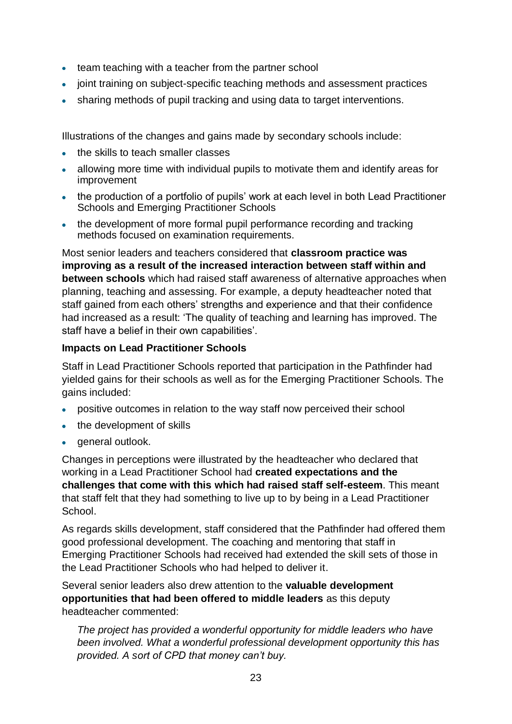- team teaching with a teacher from the partner school
- joint training on subject-specific teaching methods and assessment practices
- sharing methods of pupil tracking and using data to target interventions.

Illustrations of the changes and gains made by secondary schools include:

- **the skills to teach smaller classes**
- allowing more time with individual pupils to motivate them and identify areas for improvement
- the production of a portfolio of pupils' work at each level in both Lead Practitioner Schools and Emerging Practitioner Schools
- the development of more formal pupil performance recording and tracking methods focused on examination requirements.

Most senior leaders and teachers considered that **classroom practice was improving as a result of the increased interaction between staff within and between schools** which had raised staff awareness of alternative approaches when planning, teaching and assessing. For example, a deputy headteacher noted that staff gained from each others' strengths and experience and that their confidence had increased as a result: 'The quality of teaching and learning has improved. The staff have a belief in their own capabilities'.

#### **Impacts on Lead Practitioner Schools**

Staff in Lead Practitioner Schools reported that participation in the Pathfinder had yielded gains for their schools as well as for the Emerging Practitioner Schools. The gains included:

- positive outcomes in relation to the way staff now perceived their school
- the development of skills
- general outlook.

Changes in perceptions were illustrated by the headteacher who declared that working in a Lead Practitioner School had **created expectations and the challenges that come with this which had raised staff self-esteem**. This meant that staff felt that they had something to live up to by being in a Lead Practitioner School.

As regards skills development, staff considered that the Pathfinder had offered them good professional development. The coaching and mentoring that staff in Emerging Practitioner Schools had received had extended the skill sets of those in the Lead Practitioner Schools who had helped to deliver it.

Several senior leaders also drew attention to the **valuable development opportunities that had been offered to middle leaders** as this deputy headteacher commented:

*The project has provided a wonderful opportunity for middle leaders who have been involved. What a wonderful professional development opportunity this has provided. A sort of CPD that money can't buy.*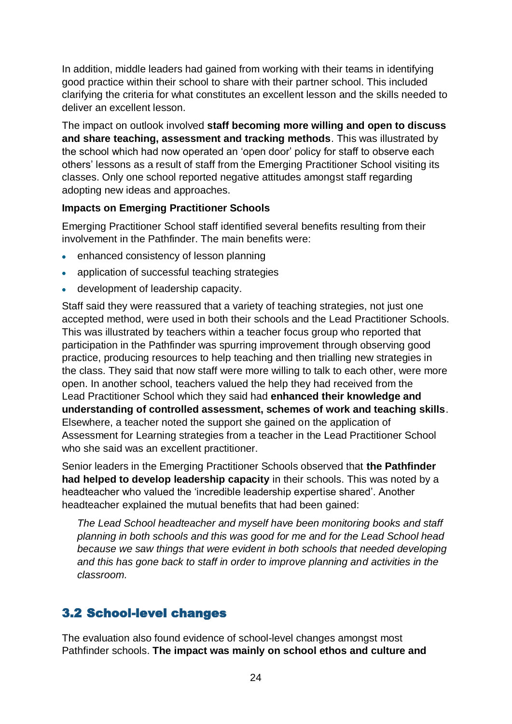In addition, middle leaders had gained from working with their teams in identifying good practice within their school to share with their partner school. This included clarifying the criteria for what constitutes an excellent lesson and the skills needed to deliver an excellent lesson.

The impact on outlook involved **staff becoming more willing and open to discuss and share teaching, assessment and tracking methods**. This was illustrated by the school which had now operated an 'open door' policy for staff to observe each others' lessons as a result of staff from the Emerging Practitioner School visiting its classes. Only one school reported negative attitudes amongst staff regarding adopting new ideas and approaches.

#### **Impacts on Emerging Practitioner Schools**

Emerging Practitioner School staff identified several benefits resulting from their involvement in the Pathfinder. The main benefits were:

- enhanced consistency of lesson planning
- application of successful teaching strategies
- development of leadership capacity.

Staff said they were reassured that a variety of teaching strategies, not just one accepted method, were used in both their schools and the Lead Practitioner Schools. This was illustrated by teachers within a teacher focus group who reported that participation in the Pathfinder was spurring improvement through observing good practice, producing resources to help teaching and then trialling new strategies in the class. They said that now staff were more willing to talk to each other, were more open. In another school, teachers valued the help they had received from the Lead Practitioner School which they said had **enhanced their knowledge and understanding of controlled assessment, schemes of work and teaching skills**. Elsewhere, a teacher noted the support she gained on the application of Assessment for Learning strategies from a teacher in the Lead Practitioner School who she said was an excellent practitioner.

Senior leaders in the Emerging Practitioner Schools observed that **the Pathfinder had helped to develop leadership capacity** in their schools. This was noted by a headteacher who valued the 'incredible leadership expertise shared'. Another headteacher explained the mutual benefits that had been gained:

*The Lead School headteacher and myself have been monitoring books and staff planning in both schools and this was good for me and for the Lead School head because we saw things that were evident in both schools that needed developing and this has gone back to staff in order to improve planning and activities in the classroom.*

## <span id="page-25-0"></span>3.2 School-level changes

The evaluation also found evidence of school-level changes amongst most Pathfinder schools. **The impact was mainly on school ethos and culture and**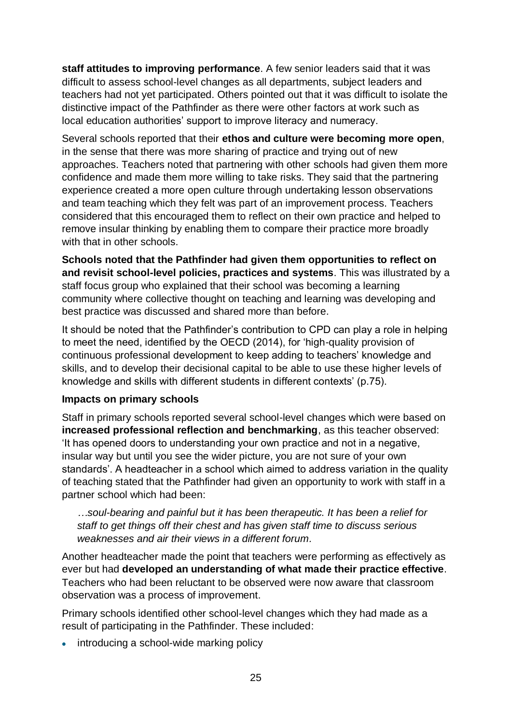**staff attitudes to improving performance**. A few senior leaders said that it was difficult to assess school-level changes as all departments, subject leaders and teachers had not yet participated. Others pointed out that it was difficult to isolate the distinctive impact of the Pathfinder as there were other factors at work such as local education authorities' support to improve literacy and numeracy.

Several schools reported that their **ethos and culture were becoming more open**, in the sense that there was more sharing of practice and trying out of new approaches. Teachers noted that partnering with other schools had given them more confidence and made them more willing to take risks. They said that the partnering experience created a more open culture through undertaking lesson observations and team teaching which they felt was part of an improvement process. Teachers considered that this encouraged them to reflect on their own practice and helped to remove insular thinking by enabling them to compare their practice more broadly with that in other schools.

**Schools noted that the Pathfinder had given them opportunities to reflect on and revisit school-level policies, practices and systems**. This was illustrated by a staff focus group who explained that their school was becoming a learning community where collective thought on teaching and learning was developing and best practice was discussed and shared more than before.

It should be noted that the Pathfinder's contribution to CPD can play a role in helping to meet the need, identified by the OECD (2014), for 'high-quality provision of continuous professional development to keep adding to teachers' knowledge and skills, and to develop their decisional capital to be able to use these higher levels of knowledge and skills with different students in different contexts' (p.75).

#### **Impacts on primary schools**

Staff in primary schools reported several school-level changes which were based on **increased professional reflection and benchmarking**, as this teacher observed: 'It has opened doors to understanding your own practice and not in a negative, insular way but until you see the wider picture, you are not sure of your own standards'. A headteacher in a school which aimed to address variation in the quality of teaching stated that the Pathfinder had given an opportunity to work with staff in a partner school which had been:

*…soul-bearing and painful but it has been therapeutic. It has been a relief for staff to get things off their chest and has given staff time to discuss serious weaknesses and air their views in a different forum.* 

Another headteacher made the point that teachers were performing as effectively as ever but had **developed an understanding of what made their practice effective**. Teachers who had been reluctant to be observed were now aware that classroom observation was a process of improvement.

Primary schools identified other school-level changes which they had made as a result of participating in the Pathfinder. These included:

• introducing a school-wide marking policy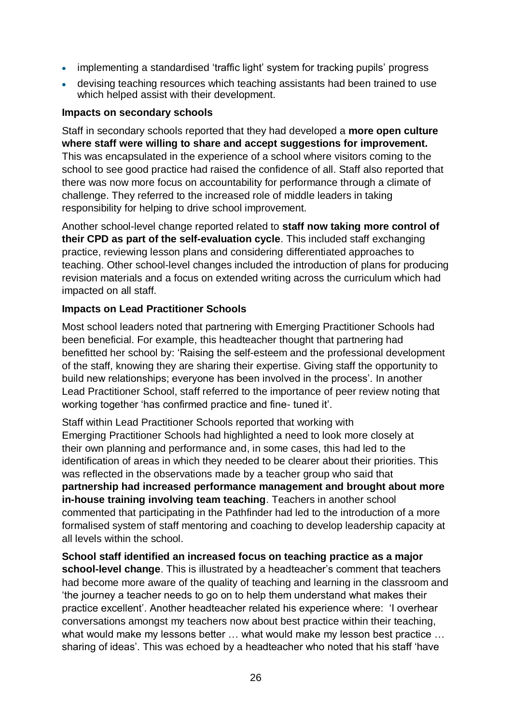- implementing a standardised 'traffic light' system for tracking pupils' progress
- devising teaching resources which teaching assistants had been trained to use which helped assist with their development.

#### **Impacts on secondary schools**

Staff in secondary schools reported that they had developed a **more open culture where staff were willing to share and accept suggestions for improvement.** This was encapsulated in the experience of a school where visitors coming to the school to see good practice had raised the confidence of all. Staff also reported that there was now more focus on accountability for performance through a climate of challenge. They referred to the increased role of middle leaders in taking responsibility for helping to drive school improvement.

Another school-level change reported related to **staff now taking more control of their CPD as part of the self-evaluation cycle**. This included staff exchanging practice, reviewing lesson plans and considering differentiated approaches to teaching. Other school-level changes included the introduction of plans for producing revision materials and a focus on extended writing across the curriculum which had impacted on all staff.

#### **Impacts on Lead Practitioner Schools**

Most school leaders noted that partnering with Emerging Practitioner Schools had been beneficial. For example, this headteacher thought that partnering had benefitted her school by: 'Raising the self-esteem and the professional development of the staff, knowing they are sharing their expertise. Giving staff the opportunity to build new relationships; everyone has been involved in the process'. In another Lead Practitioner School, staff referred to the importance of peer review noting that working together 'has confirmed practice and fine- tuned it'.

Staff within Lead Practitioner Schools reported that working with Emerging Practitioner Schools had highlighted a need to look more closely at their own planning and performance and, in some cases, this had led to the identification of areas in which they needed to be clearer about their priorities. This was reflected in the observations made by a teacher group who said that **partnership had increased performance management and brought about more in-house training involving team teaching**. Teachers in another school commented that participating in the Pathfinder had led to the introduction of a more formalised system of staff mentoring and coaching to develop leadership capacity at all levels within the school.

**School staff identified an increased focus on teaching practice as a major school-level change**. This is illustrated by a headteacher's comment that teachers had become more aware of the quality of teaching and learning in the classroom and 'the journey a teacher needs to go on to help them understand what makes their practice excellent'. Another headteacher related his experience where: 'I overhear conversations amongst my teachers now about best practice within their teaching, what would make my lessons better ... what would make my lesson best practice ... sharing of ideas'. This was echoed by a headteacher who noted that his staff 'have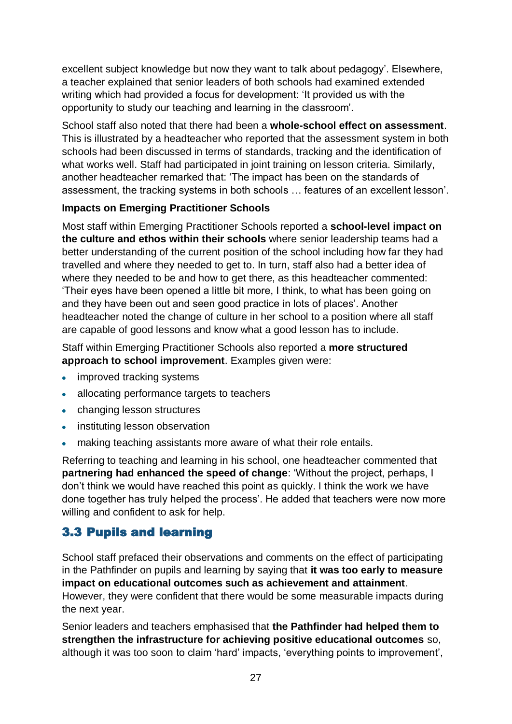excellent subject knowledge but now they want to talk about pedagogy'. Elsewhere, a teacher explained that senior leaders of both schools had examined extended writing which had provided a focus for development: 'It provided us with the opportunity to study our teaching and learning in the classroom'.

School staff also noted that there had been a **whole-school effect on assessment**. This is illustrated by a headteacher who reported that the assessment system in both schools had been discussed in terms of standards, tracking and the identification of what works well. Staff had participated in joint training on lesson criteria. Similarly, another headteacher remarked that: 'The impact has been on the standards of assessment, the tracking systems in both schools … features of an excellent lesson'.

### **Impacts on Emerging Practitioner Schools**

Most staff within Emerging Practitioner Schools reported a **school-level impact on the culture and ethos within their schools** where senior leadership teams had a better understanding of the current position of the school including how far they had travelled and where they needed to get to. In turn, staff also had a better idea of where they needed to be and how to get there, as this headteacher commented: 'Their eyes have been opened a little bit more, I think, to what has been going on and they have been out and seen good practice in lots of places'. Another headteacher noted the change of culture in her school to a position where all staff are capable of good lessons and know what a good lesson has to include.

Staff within Emerging Practitioner Schools also reported a **more structured approach to school improvement**. Examples given were:

- improved tracking systems
- allocating performance targets to teachers
- changing lesson structures
- instituting lesson observation
- making teaching assistants more aware of what their role entails.

Referring to teaching and learning in his school, one headteacher commented that **partnering had enhanced the speed of change**: 'Without the project, perhaps, I don't think we would have reached this point as quickly. I think the work we have done together has truly helped the process'. He added that teachers were now more willing and confident to ask for help.

## <span id="page-28-0"></span>3.3 Pupils and learning

School staff prefaced their observations and comments on the effect of participating in the Pathfinder on pupils and learning by saying that **it was too early to measure impact on educational outcomes such as achievement and attainment**. However, they were confident that there would be some measurable impacts during the next year.

Senior leaders and teachers emphasised that **the Pathfinder had helped them to strengthen the infrastructure for achieving positive educational outcomes** so, although it was too soon to claim 'hard' impacts, 'everything points to improvement',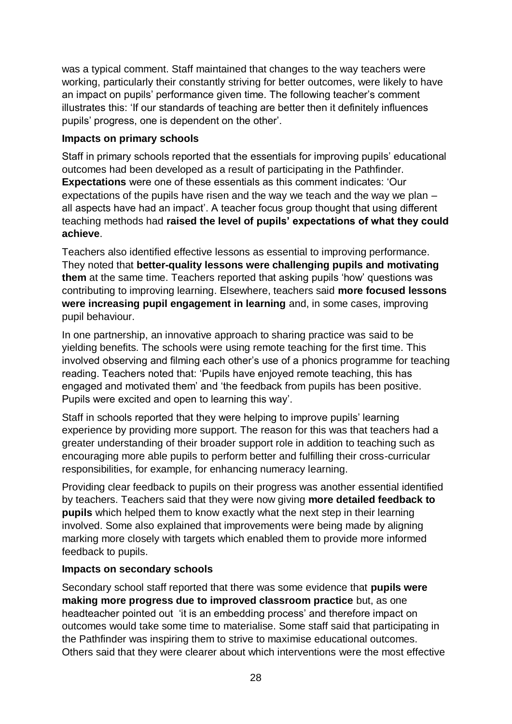was a typical comment. Staff maintained that changes to the way teachers were working, particularly their constantly striving for better outcomes, were likely to have an impact on pupils' performance given time. The following teacher's comment illustrates this: 'If our standards of teaching are better then it definitely influences pupils' progress, one is dependent on the other'.

#### **Impacts on primary schools**

Staff in primary schools reported that the essentials for improving pupils' educational outcomes had been developed as a result of participating in the Pathfinder. **Expectations** were one of these essentials as this comment indicates: 'Our expectations of the pupils have risen and the way we teach and the way we plan – all aspects have had an impact'. A teacher focus group thought that using different teaching methods had **raised the level of pupils' expectations of what they could achieve**.

Teachers also identified effective lessons as essential to improving performance. They noted that **better-quality lessons were challenging pupils and motivating them** at the same time. Teachers reported that asking pupils 'how' questions was contributing to improving learning. Elsewhere, teachers said **more focused lessons were increasing pupil engagement in learning** and, in some cases, improving pupil behaviour.

In one partnership, an innovative approach to sharing practice was said to be yielding benefits. The schools were using remote teaching for the first time. This involved observing and filming each other's use of a phonics programme for teaching reading. Teachers noted that: 'Pupils have enjoyed remote teaching, this has engaged and motivated them' and 'the feedback from pupils has been positive. Pupils were excited and open to learning this way'.

Staff in schools reported that they were helping to improve pupils' learning experience by providing more support. The reason for this was that teachers had a greater understanding of their broader support role in addition to teaching such as encouraging more able pupils to perform better and fulfilling their cross-curricular responsibilities, for example, for enhancing numeracy learning.

Providing clear feedback to pupils on their progress was another essential identified by teachers. Teachers said that they were now giving **more detailed feedback to pupils** which helped them to know exactly what the next step in their learning involved. Some also explained that improvements were being made by aligning marking more closely with targets which enabled them to provide more informed feedback to pupils.

#### **Impacts on secondary schools**

Secondary school staff reported that there was some evidence that **pupils were making more progress due to improved classroom practice** but, as one headteacher pointed out 'it is an embedding process' and therefore impact on outcomes would take some time to materialise. Some staff said that participating in the Pathfinder was inspiring them to strive to maximise educational outcomes. Others said that they were clearer about which interventions were the most effective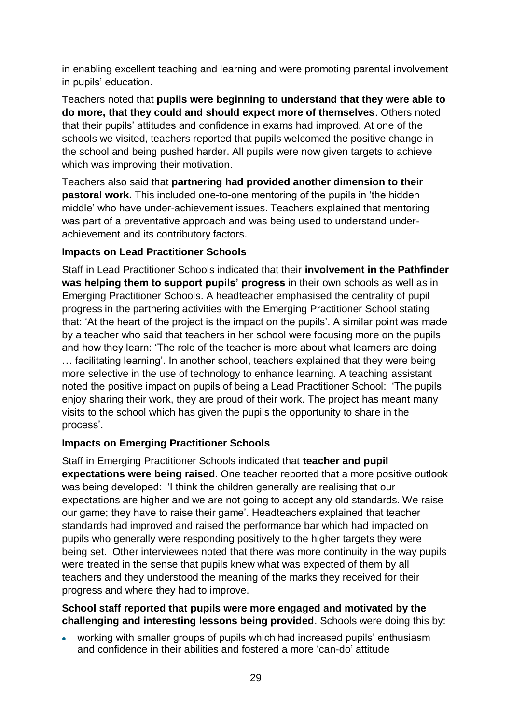in enabling excellent teaching and learning and were promoting parental involvement in pupils' education.

Teachers noted that **pupils were beginning to understand that they were able to do more, that they could and should expect more of themselves**. Others noted that their pupils' attitudes and confidence in exams had improved. At one of the schools we visited, teachers reported that pupils welcomed the positive change in the school and being pushed harder. All pupils were now given targets to achieve which was improving their motivation.

Teachers also said that **partnering had provided another dimension to their pastoral work.** This included one-to-one mentoring of the pupils in 'the hidden middle' who have under-achievement issues. Teachers explained that mentoring was part of a preventative approach and was being used to understand underachievement and its contributory factors.

### **Impacts on Lead Practitioner Schools**

Staff in Lead Practitioner Schools indicated that their **involvement in the Pathfinder was helping them to support pupils' progress** in their own schools as well as in Emerging Practitioner Schools. A headteacher emphasised the centrality of pupil progress in the partnering activities with the Emerging Practitioner School stating that: 'At the heart of the project is the impact on the pupils'. A similar point was made by a teacher who said that teachers in her school were focusing more on the pupils and how they learn: 'The role of the teacher is more about what learners are doing … facilitating learning'. In another school, teachers explained that they were being more selective in the use of technology to enhance learning. A teaching assistant noted the positive impact on pupils of being a Lead Practitioner School: 'The pupils enjoy sharing their work, they are proud of their work. The project has meant many visits to the school which has given the pupils the opportunity to share in the process'.

#### **Impacts on Emerging Practitioner Schools**

Staff in Emerging Practitioner Schools indicated that **teacher and pupil expectations were being raised**. One teacher reported that a more positive outlook was being developed: 'I think the children generally are realising that our expectations are higher and we are not going to accept any old standards. We raise our game; they have to raise their game'. Headteachers explained that teacher standards had improved and raised the performance bar which had impacted on pupils who generally were responding positively to the higher targets they were being set. Other interviewees noted that there was more continuity in the way pupils were treated in the sense that pupils knew what was expected of them by all teachers and they understood the meaning of the marks they received for their progress and where they had to improve.

#### **School staff reported that pupils were more engaged and motivated by the challenging and interesting lessons being provided**. Schools were doing this by:

working with smaller groups of pupils which had increased pupils' enthusiasm and confidence in their abilities and fostered a more 'can-do' attitude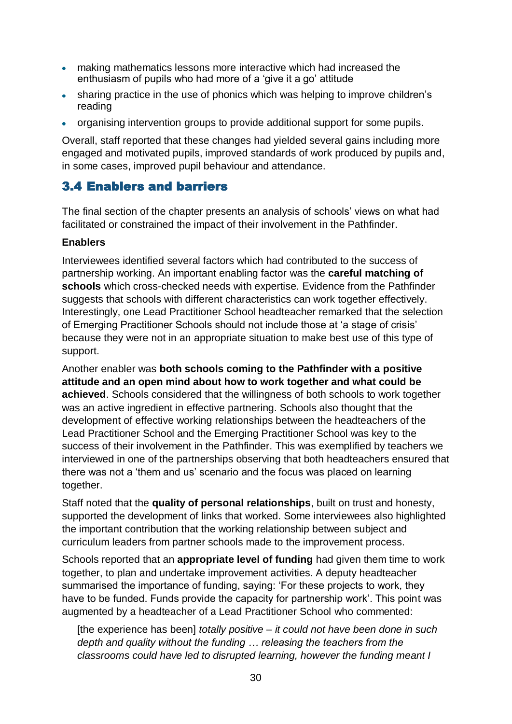- making mathematics lessons more interactive which had increased the enthusiasm of pupils who had more of a 'give it a go' attitude
- sharing practice in the use of phonics which was helping to improve children's reading
- organising intervention groups to provide additional support for some pupils.

Overall, staff reported that these changes had yielded several gains including more engaged and motivated pupils, improved standards of work produced by pupils and, in some cases, improved pupil behaviour and attendance.

## <span id="page-31-0"></span>3.4 Enablers and barriers

The final section of the chapter presents an analysis of schools' views on what had facilitated or constrained the impact of their involvement in the Pathfinder.

### **Enablers**

Interviewees identified several factors which had contributed to the success of partnership working. An important enabling factor was the **careful matching of schools** which cross-checked needs with expertise. Evidence from the Pathfinder suggests that schools with different characteristics can work together effectively. Interestingly, one Lead Practitioner School headteacher remarked that the selection of Emerging Practitioner Schools should not include those at 'a stage of crisis' because they were not in an appropriate situation to make best use of this type of support.

Another enabler was **both schools coming to the Pathfinder with a positive attitude and an open mind about how to work together and what could be achieved**. Schools considered that the willingness of both schools to work together was an active ingredient in effective partnering. Schools also thought that the development of effective working relationships between the headteachers of the Lead Practitioner School and the Emerging Practitioner School was key to the success of their involvement in the Pathfinder. This was exemplified by teachers we interviewed in one of the partnerships observing that both headteachers ensured that there was not a 'them and us' scenario and the focus was placed on learning together.

Staff noted that the **quality of personal relationships**, built on trust and honesty, supported the development of links that worked. Some interviewees also highlighted the important contribution that the working relationship between subject and curriculum leaders from partner schools made to the improvement process.

Schools reported that an **appropriate level of funding** had given them time to work together, to plan and undertake improvement activities. A deputy headteacher summarised the importance of funding, saying: 'For these projects to work, they have to be funded. Funds provide the capacity for partnership work'. This point was augmented by a headteacher of a Lead Practitioner School who commented:

[the experience has been] *totally positive – it could not have been done in such depth and quality without the funding … releasing the teachers from the classrooms could have led to disrupted learning, however the funding meant I*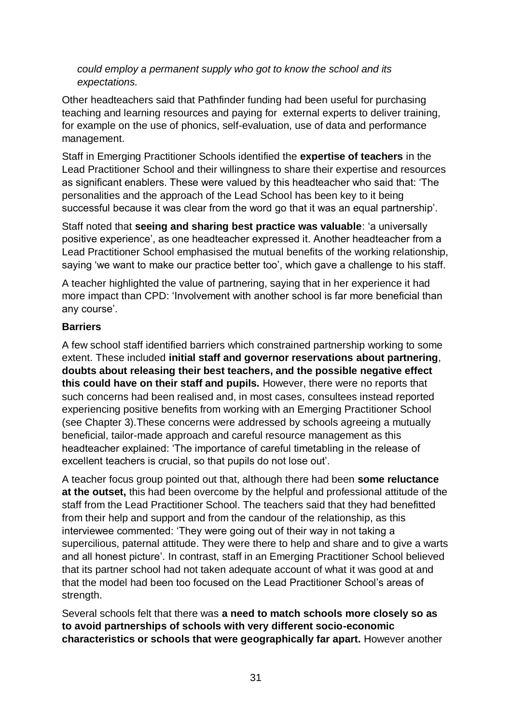*could employ a permanent supply who got to know the school and its expectations.* 

Other headteachers said that Pathfinder funding had been useful for purchasing teaching and learning resources and paying for external experts to deliver training, for example on the use of phonics, self-evaluation, use of data and performance management.

Staff in Emerging Practitioner Schools identified the **expertise of teachers** in the Lead Practitioner School and their willingness to share their expertise and resources as significant enablers. These were valued by this headteacher who said that: 'The personalities and the approach of the Lead School has been key to it being successful because it was clear from the word go that it was an equal partnership'.

Staff noted that **seeing and sharing best practice was valuable**: 'a universally positive experience', as one headteacher expressed it. Another headteacher from a Lead Practitioner School emphasised the mutual benefits of the working relationship, saying 'we want to make our practice better too', which gave a challenge to his staff.

A teacher highlighted the value of partnering, saying that in her experience it had more impact than CPD: 'Involvement with another school is far more beneficial than any course'.

#### **Barriers**

A few school staff identified barriers which constrained partnership working to some extent. These included **initial staff and governor reservations about partnering**, **doubts about releasing their best teachers, and the possible negative effect this could have on their staff and pupils.** However, there were no reports that such concerns had been realised and, in most cases, consultees instead reported experiencing positive benefits from working with an Emerging Practitioner School (see Chapter 3).These concerns were addressed by schools agreeing a mutually beneficial, tailor-made approach and careful resource management as this headteacher explained: 'The importance of careful timetabling in the release of excellent teachers is crucial, so that pupils do not lose out'.

A teacher focus group pointed out that, although there had been **some reluctance at the outset,** this had been overcome by the helpful and professional attitude of the staff from the Lead Practitioner School. The teachers said that they had benefitted from their help and support and from the candour of the relationship, as this interviewee commented: 'They were going out of their way in not taking a supercilious, paternal attitude. They were there to help and share and to give a warts and all honest picture'. In contrast, staff in an Emerging Practitioner School believed that its partner school had not taken adequate account of what it was good at and that the model had been too focused on the Lead Practitioner School's areas of strength.

Several schools felt that there was **a need to match schools more closely so as to avoid partnerships of schools with very different socio-economic characteristics or schools that were geographically far apart.** However another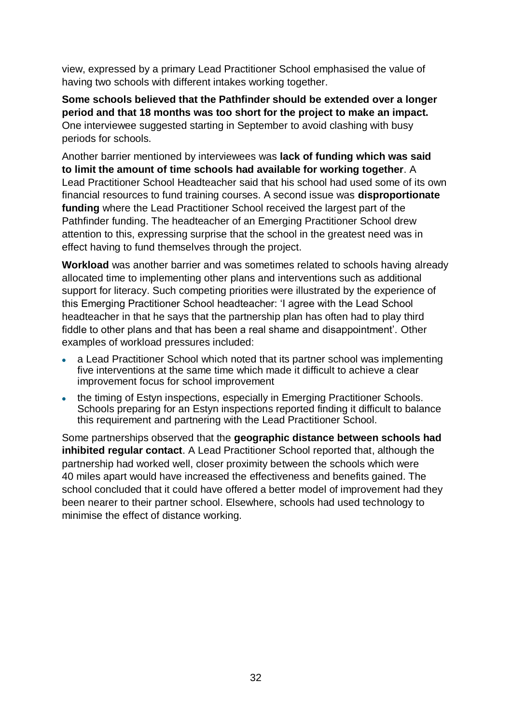view, expressed by a primary Lead Practitioner School emphasised the value of having two schools with different intakes working together.

**Some schools believed that the Pathfinder should be extended over a longer period and that 18 months was too short for the project to make an impact.** One interviewee suggested starting in September to avoid clashing with busy periods for schools.

Another barrier mentioned by interviewees was **lack of funding which was said to limit the amount of time schools had available for working together**. A Lead Practitioner School Headteacher said that his school had used some of its own financial resources to fund training courses. A second issue was **disproportionate funding** where the Lead Practitioner School received the largest part of the Pathfinder funding. The headteacher of an Emerging Practitioner School drew attention to this, expressing surprise that the school in the greatest need was in effect having to fund themselves through the project.

**Workload** was another barrier and was sometimes related to schools having already allocated time to implementing other plans and interventions such as additional support for literacy. Such competing priorities were illustrated by the experience of this Emerging Practitioner School headteacher: 'I agree with the Lead School headteacher in that he says that the partnership plan has often had to play third fiddle to other plans and that has been a real shame and disappointment'. Other examples of workload pressures included:

- a Lead Practitioner School which noted that its partner school was implementing five interventions at the same time which made it difficult to achieve a clear improvement focus for school improvement
- the timing of Estyn inspections, especially in Emerging Practitioner Schools. Schools preparing for an Estyn inspections reported finding it difficult to balance this requirement and partnering with the Lead Practitioner School.

Some partnerships observed that the **geographic distance between schools had inhibited regular contact**. A Lead Practitioner School reported that, although the partnership had worked well, closer proximity between the schools which were 40 miles apart would have increased the effectiveness and benefits gained. The school concluded that it could have offered a better model of improvement had they been nearer to their partner school. Elsewhere, schools had used technology to minimise the effect of distance working.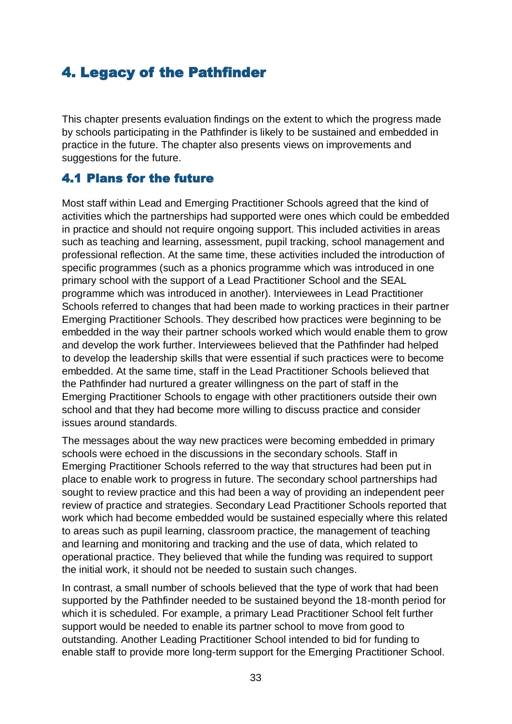# <span id="page-34-0"></span>4. Legacy of the Pathfinder

This chapter presents evaluation findings on the extent to which the progress made by schools participating in the Pathfinder is likely to be sustained and embedded in practice in the future. The chapter also presents views on improvements and suggestions for the future.

## <span id="page-34-1"></span>4.1 Plans for the future

Most staff within Lead and Emerging Practitioner Schools agreed that the kind of activities which the partnerships had supported were ones which could be embedded in practice and should not require ongoing support. This included activities in areas such as teaching and learning, assessment, pupil tracking, school management and professional reflection. At the same time, these activities included the introduction of specific programmes (such as a phonics programme which was introduced in one primary school with the support of a Lead Practitioner School and the SEAL programme which was introduced in another). Interviewees in Lead Practitioner Schools referred to changes that had been made to working practices in their partner Emerging Practitioner Schools. They described how practices were beginning to be embedded in the way their partner schools worked which would enable them to grow and develop the work further. Interviewees believed that the Pathfinder had helped to develop the leadership skills that were essential if such practices were to become embedded. At the same time, staff in the Lead Practitioner Schools believed that the Pathfinder had nurtured a greater willingness on the part of staff in the Emerging Practitioner Schools to engage with other practitioners outside their own school and that they had become more willing to discuss practice and consider issues around standards.

The messages about the way new practices were becoming embedded in primary schools were echoed in the discussions in the secondary schools. Staff in Emerging Practitioner Schools referred to the way that structures had been put in place to enable work to progress in future. The secondary school partnerships had sought to review practice and this had been a way of providing an independent peer review of practice and strategies. Secondary Lead Practitioner Schools reported that work which had become embedded would be sustained especially where this related to areas such as pupil learning, classroom practice, the management of teaching and learning and monitoring and tracking and the use of data, which related to operational practice. They believed that while the funding was required to support the initial work, it should not be needed to sustain such changes.

In contrast, a small number of schools believed that the type of work that had been supported by the Pathfinder needed to be sustained beyond the 18-month period for which it is scheduled. For example, a primary Lead Practitioner School felt further support would be needed to enable its partner school to move from good to outstanding. Another Leading Practitioner School intended to bid for funding to enable staff to provide more long-term support for the Emerging Practitioner School.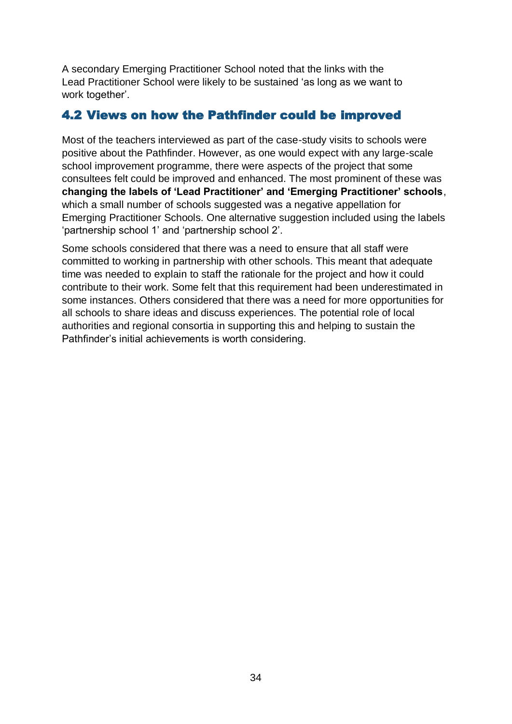A secondary Emerging Practitioner School noted that the links with the Lead Practitioner School were likely to be sustained 'as long as we want to work together'.

### <span id="page-35-0"></span>4.2 Views on how the Pathfinder could be improved

Most of the teachers interviewed as part of the case-study visits to schools were positive about the Pathfinder. However, as one would expect with any large-scale school improvement programme, there were aspects of the project that some consultees felt could be improved and enhanced. The most prominent of these was **changing the labels of 'Lead Practitioner' and 'Emerging Practitioner' schools**, which a small number of schools suggested was a negative appellation for Emerging Practitioner Schools. One alternative suggestion included using the labels 'partnership school 1' and 'partnership school 2'.

Some schools considered that there was a need to ensure that all staff were committed to working in partnership with other schools. This meant that adequate time was needed to explain to staff the rationale for the project and how it could contribute to their work. Some felt that this requirement had been underestimated in some instances. Others considered that there was a need for more opportunities for all schools to share ideas and discuss experiences. The potential role of local authorities and regional consortia in supporting this and helping to sustain the Pathfinder's initial achievements is worth considering.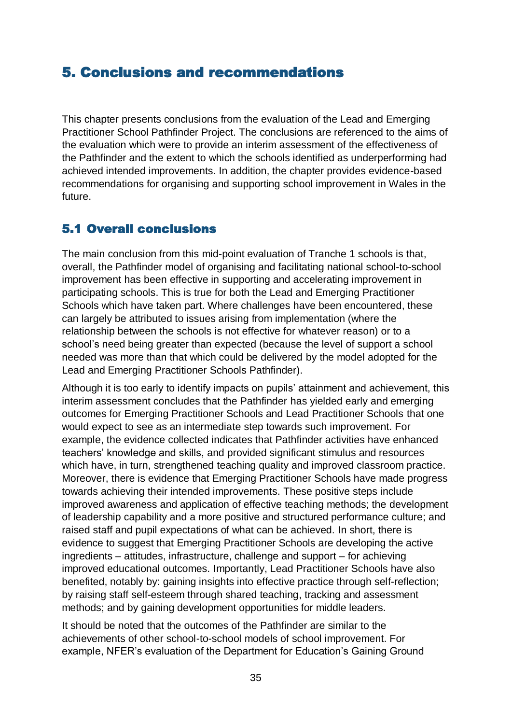# <span id="page-36-0"></span>5. Conclusions and recommendations

This chapter presents conclusions from the evaluation of the Lead and Emerging Practitioner School Pathfinder Project. The conclusions are referenced to the aims of the evaluation which were to provide an interim assessment of the effectiveness of the Pathfinder and the extent to which the schools identified as underperforming had achieved intended improvements. In addition, the chapter provides evidence-based recommendations for organising and supporting school improvement in Wales in the future.

# <span id="page-36-1"></span>5.1 Overall conclusions

The main conclusion from this mid-point evaluation of Tranche 1 schools is that, overall, the Pathfinder model of organising and facilitating national school-to-school improvement has been effective in supporting and accelerating improvement in participating schools. This is true for both the Lead and Emerging Practitioner Schools which have taken part. Where challenges have been encountered, these can largely be attributed to issues arising from implementation (where the relationship between the schools is not effective for whatever reason) or to a school's need being greater than expected (because the level of support a school needed was more than that which could be delivered by the model adopted for the Lead and Emerging Practitioner Schools Pathfinder).

Although it is too early to identify impacts on pupils' attainment and achievement, this interim assessment concludes that the Pathfinder has yielded early and emerging outcomes for Emerging Practitioner Schools and Lead Practitioner Schools that one would expect to see as an intermediate step towards such improvement. For example, the evidence collected indicates that Pathfinder activities have enhanced teachers' knowledge and skills, and provided significant stimulus and resources which have, in turn, strengthened teaching quality and improved classroom practice. Moreover, there is evidence that Emerging Practitioner Schools have made progress towards achieving their intended improvements. These positive steps include improved awareness and application of effective teaching methods; the development of leadership capability and a more positive and structured performance culture; and raised staff and pupil expectations of what can be achieved. In short, there is evidence to suggest that Emerging Practitioner Schools are developing the active ingredients – attitudes, infrastructure, challenge and support – for achieving improved educational outcomes. Importantly, Lead Practitioner Schools have also benefited, notably by: gaining insights into effective practice through self-reflection; by raising staff self-esteem through shared teaching, tracking and assessment methods; and by gaining development opportunities for middle leaders.

It should be noted that the outcomes of the Pathfinder are similar to the achievements of other school-to-school models of school improvement. For example, NFER's evaluation of the Department for Education's Gaining Ground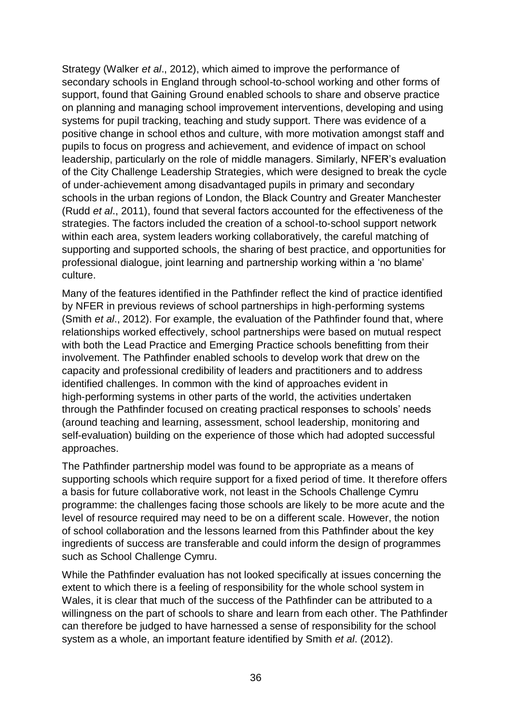Strategy (Walker *et al*., 2012), which aimed to improve the performance of secondary schools in England through school-to-school working and other forms of support, found that Gaining Ground enabled schools to share and observe practice on planning and managing school improvement interventions, developing and using systems for pupil tracking, teaching and study support. There was evidence of a positive change in school ethos and culture, with more motivation amongst staff and pupils to focus on progress and achievement, and evidence of impact on school leadership, particularly on the role of middle managers. Similarly, NFER's evaluation of the City Challenge Leadership Strategies, which were designed to break the cycle of under-achievement among disadvantaged pupils in primary and secondary schools in the urban regions of London, the Black Country and Greater Manchester (Rudd *et al*., 2011), found that several factors accounted for the effectiveness of the strategies. The factors included the creation of a school-to-school support network within each area, system leaders working collaboratively, the careful matching of supporting and supported schools, the sharing of best practice, and opportunities for professional dialogue, joint learning and partnership working within a 'no blame' culture.

Many of the features identified in the Pathfinder reflect the kind of practice identified by NFER in previous reviews of school partnerships in high-performing systems (Smith *et al*., 2012). For example, the evaluation of the Pathfinder found that, where relationships worked effectively, school partnerships were based on mutual respect with both the Lead Practice and Emerging Practice schools benefitting from their involvement. The Pathfinder enabled schools to develop work that drew on the capacity and professional credibility of leaders and practitioners and to address identified challenges. In common with the kind of approaches evident in high-performing systems in other parts of the world, the activities undertaken through the Pathfinder focused on creating practical responses to schools' needs (around teaching and learning, assessment, school leadership, monitoring and self-evaluation) building on the experience of those which had adopted successful approaches.

The Pathfinder partnership model was found to be appropriate as a means of supporting schools which require support for a fixed period of time. It therefore offers a basis for future collaborative work, not least in the Schools Challenge Cymru programme: the challenges facing those schools are likely to be more acute and the level of resource required may need to be on a different scale. However, the notion of school collaboration and the lessons learned from this Pathfinder about the key ingredients of success are transferable and could inform the design of programmes such as School Challenge Cymru.

While the Pathfinder evaluation has not looked specifically at issues concerning the extent to which there is a feeling of responsibility for the whole school system in Wales, it is clear that much of the success of the Pathfinder can be attributed to a willingness on the part of schools to share and learn from each other. The Pathfinder can therefore be judged to have harnessed a sense of responsibility for the school system as a whole, an important feature identified by Smith *et al*. (2012).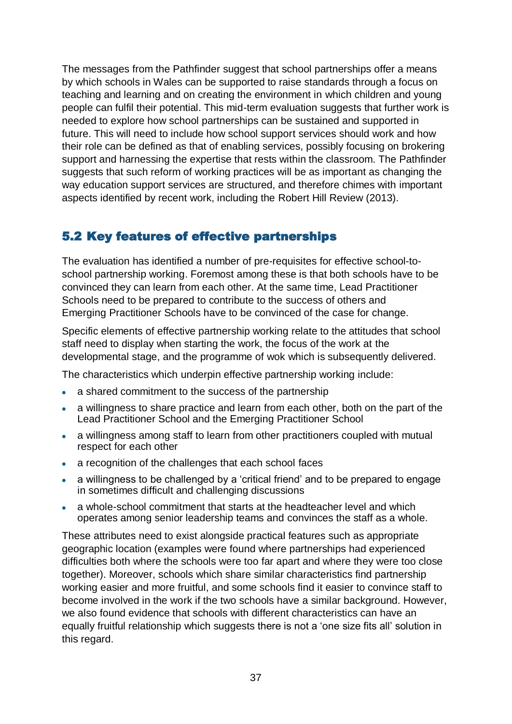The messages from the Pathfinder suggest that school partnerships offer a means by which schools in Wales can be supported to raise standards through a focus on teaching and learning and on creating the environment in which children and young people can fulfil their potential. This mid-term evaluation suggests that further work is needed to explore how school partnerships can be sustained and supported in future. This will need to include how school support services should work and how their role can be defined as that of enabling services, possibly focusing on brokering support and harnessing the expertise that rests within the classroom. The Pathfinder suggests that such reform of working practices will be as important as changing the way education support services are structured, and therefore chimes with important aspects identified by recent work, including the Robert Hill Review (2013).

## <span id="page-38-0"></span>5.2 Key features of effective partnerships

The evaluation has identified a number of pre-requisites for effective school-toschool partnership working. Foremost among these is that both schools have to be convinced they can learn from each other. At the same time, Lead Practitioner Schools need to be prepared to contribute to the success of others and Emerging Practitioner Schools have to be convinced of the case for change.

Specific elements of effective partnership working relate to the attitudes that school staff need to display when starting the work, the focus of the work at the developmental stage, and the programme of wok which is subsequently delivered.

The characteristics which underpin effective partnership working include:

- a shared commitment to the success of the partnership
- a willingness to share practice and learn from each other, both on the part of the Lead Practitioner School and the Emerging Practitioner School
- a willingness among staff to learn from other practitioners coupled with mutual respect for each other
- a recognition of the challenges that each school faces
- a willingness to be challenged by a 'critical friend' and to be prepared to engage in sometimes difficult and challenging discussions
- a whole-school commitment that starts at the headteacher level and which operates among senior leadership teams and convinces the staff as a whole.

These attributes need to exist alongside practical features such as appropriate geographic location (examples were found where partnerships had experienced difficulties both where the schools were too far apart and where they were too close together). Moreover, schools which share similar characteristics find partnership working easier and more fruitful, and some schools find it easier to convince staff to become involved in the work if the two schools have a similar background. However, we also found evidence that schools with different characteristics can have an equally fruitful relationship which suggests there is not a 'one size fits all' solution in this regard.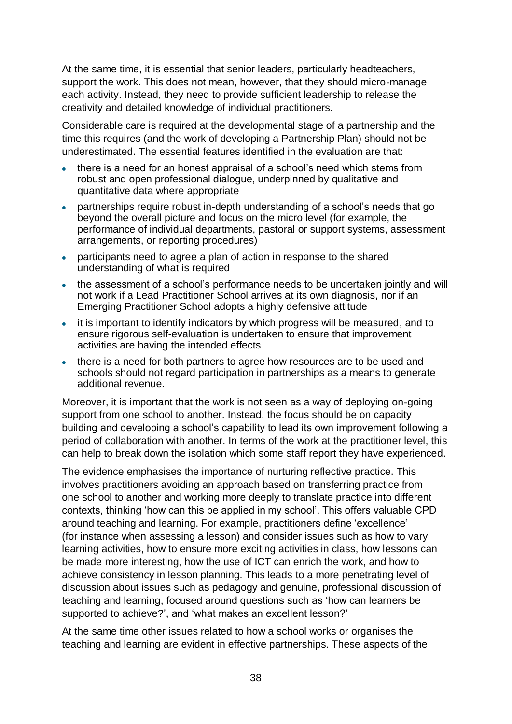At the same time, it is essential that senior leaders, particularly headteachers, support the work. This does not mean, however, that they should micro-manage each activity. Instead, they need to provide sufficient leadership to release the creativity and detailed knowledge of individual practitioners.

Considerable care is required at the developmental stage of a partnership and the time this requires (and the work of developing a Partnership Plan) should not be underestimated. The essential features identified in the evaluation are that:

- there is a need for an honest appraisal of a school's need which stems from robust and open professional dialogue, underpinned by qualitative and quantitative data where appropriate
- partnerships require robust in-depth understanding of a school's needs that go beyond the overall picture and focus on the micro level (for example, the performance of individual departments, pastoral or support systems, assessment arrangements, or reporting procedures)
- participants need to agree a plan of action in response to the shared understanding of what is required
- the assessment of a school's performance needs to be undertaken jointly and will not work if a Lead Practitioner School arrives at its own diagnosis, nor if an Emerging Practitioner School adopts a highly defensive attitude
- it is important to identify indicators by which progress will be measured, and to ensure rigorous self-evaluation is undertaken to ensure that improvement activities are having the intended effects
- there is a need for both partners to agree how resources are to be used and schools should not regard participation in partnerships as a means to generate additional revenue.

Moreover, it is important that the work is not seen as a way of deploying on-going support from one school to another. Instead, the focus should be on capacity building and developing a school's capability to lead its own improvement following a period of collaboration with another. In terms of the work at the practitioner level, this can help to break down the isolation which some staff report they have experienced.

The evidence emphasises the importance of nurturing reflective practice. This involves practitioners avoiding an approach based on transferring practice from one school to another and working more deeply to translate practice into different contexts, thinking 'how can this be applied in my school'. This offers valuable CPD around teaching and learning. For example, practitioners define 'excellence' (for instance when assessing a lesson) and consider issues such as how to vary learning activities, how to ensure more exciting activities in class, how lessons can be made more interesting, how the use of ICT can enrich the work, and how to achieve consistency in lesson planning. This leads to a more penetrating level of discussion about issues such as pedagogy and genuine, professional discussion of teaching and learning, focused around questions such as 'how can learners be supported to achieve?', and 'what makes an excellent lesson?'

At the same time other issues related to how a school works or organises the teaching and learning are evident in effective partnerships. These aspects of the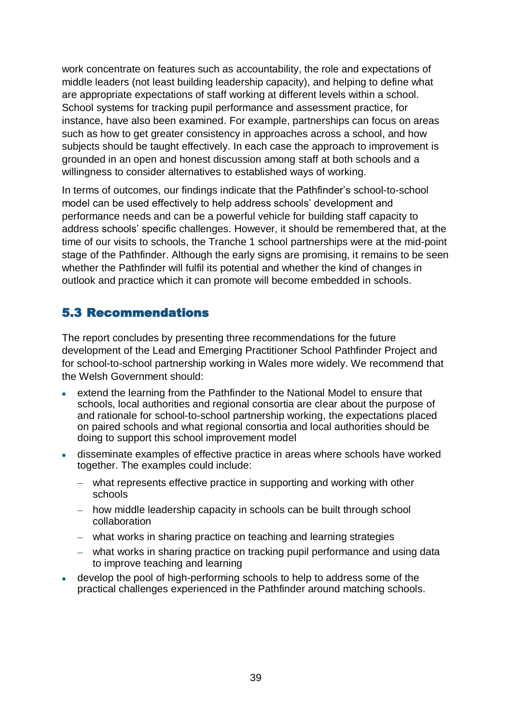work concentrate on features such as accountability, the role and expectations of middle leaders (not least building leadership capacity), and helping to define what are appropriate expectations of staff working at different levels within a school. School systems for tracking pupil performance and assessment practice, for instance, have also been examined. For example, partnerships can focus on areas such as how to get greater consistency in approaches across a school, and how subjects should be taught effectively. In each case the approach to improvement is grounded in an open and honest discussion among staff at both schools and a willingness to consider alternatives to established ways of working.

In terms of outcomes, our findings indicate that the Pathfinder's school-to-school model can be used effectively to help address schools' development and performance needs and can be a powerful vehicle for building staff capacity to address schools' specific challenges. However, it should be remembered that, at the time of our visits to schools, the Tranche 1 school partnerships were at the mid-point stage of the Pathfinder. Although the early signs are promising, it remains to be seen whether the Pathfinder will fulfil its potential and whether the kind of changes in outlook and practice which it can promote will become embedded in schools.

## <span id="page-40-0"></span>5.3 Recommendations

The report concludes by presenting three recommendations for the future development of the Lead and Emerging Practitioner School Pathfinder Project and for school-to-school partnership working in Wales more widely. We recommend that the Welsh Government should:

- extend the learning from the Pathfinder to the National Model to ensure that schools, local authorities and regional consortia are clear about the purpose of and rationale for school-to-school partnership working, the expectations placed on paired schools and what regional consortia and local authorities should be doing to support this school improvement model
- disseminate examples of effective practice in areas where schools have worked together. The examples could include:
	- what represents effective practice in supporting and working with other schools
	- how middle leadership capacity in schools can be built through school collaboration
	- what works in sharing practice on teaching and learning strategies
	- what works in sharing practice on tracking pupil performance and using data to improve teaching and learning
- develop the pool of high-performing schools to help to address some of the practical challenges experienced in the Pathfinder around matching schools.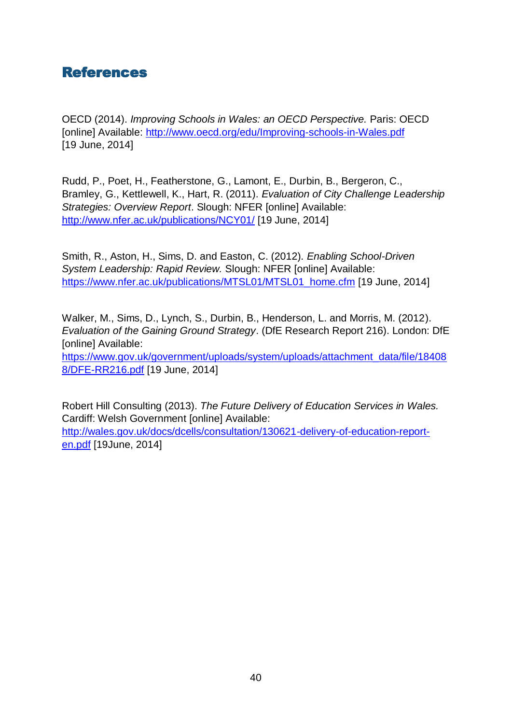<span id="page-41-0"></span>

OECD (2014). *Improving Schools in Wales: an OECD Perspective.* Paris: OECD [online] Available:<http://www.oecd.org/edu/Improving-schools-in-Wales.pdf> [19 June, 2014]

Rudd, P., Poet, H., Featherstone, G., Lamont, E., Durbin, B., Bergeron, C., Bramley, G., Kettlewell, K., Hart, R. (2011). *Evaluation of City Challenge Leadership Strategies: Overview Report*. Slough: NFER [online] Available: <http://www.nfer.ac.uk/publications/NCY01/> [19 June, 2014]

Smith, R., Aston, H., Sims, D. and Easton, C. (2012). *Enabling School-Driven System Leadership: Rapid Review.* Slough: NFER [online] Available: [https://www.nfer.ac.uk/publications/MTSL01/MTSL01\\_home.cfm](https://www.nfer.ac.uk/publications/MTSL01/MTSL01_home.cfm) [19 June, 2014]

Walker, M., Sims, D., Lynch, S., Durbin, B., Henderson, L. and Morris, M. (2012). *Evaluation of the Gaining Ground Strategy*. (DfE Research Report 216). London: DfE [online] Available: [https://www.gov.uk/government/uploads/system/uploads/attachment\\_data/file/18408](https://www.gov.uk/government/uploads/system/uploads/attachment_data/file/184088/DFE-RR216.pdf) [8/DFE-RR216.pdf](https://www.gov.uk/government/uploads/system/uploads/attachment_data/file/184088/DFE-RR216.pdf) [19 June, 2014]

Robert Hill Consulting (2013). *The Future Delivery of Education Services in Wales.* Cardiff: Welsh Government [online] Available: [http://wales.gov.uk/docs/dcells/consultation/130621-delivery-of-education-report](http://wales.gov.uk/docs/dcells/consultation/130621-delivery-of-education-report-en.pdf)[en.pdf](http://wales.gov.uk/docs/dcells/consultation/130621-delivery-of-education-report-en.pdf) [19June, 2014]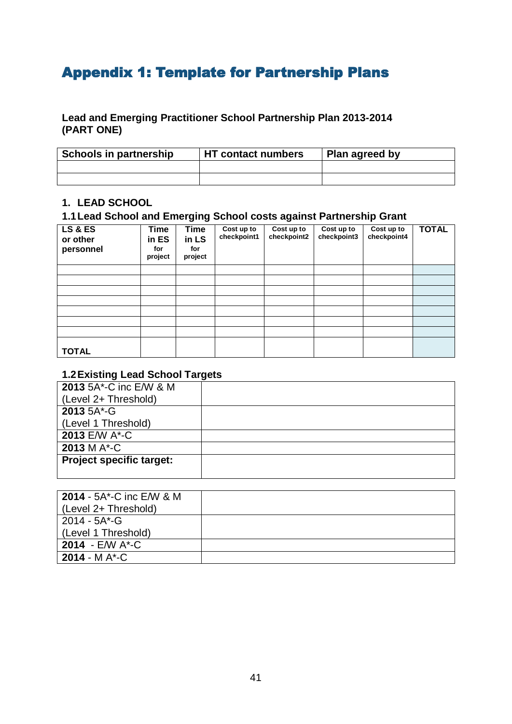# <span id="page-42-0"></span>Appendix 1: Template for Partnership Plans

#### **Lead and Emerging Practitioner School Partnership Plan 2013-2014 (PART ONE)**

| Schools in partnership | <b>HT</b> contact numbers | Plan agreed by |
|------------------------|---------------------------|----------------|
|                        |                           |                |
|                        |                           |                |

#### **1. LEAD SCHOOL**

### **1.1Lead School and Emerging School costs against Partnership Grant**

| <b>LS &amp; ES</b><br>or other<br>personnel | <b>Time</b><br>in ES<br>for<br>project | <b>Time</b><br>in LS<br>for<br>project | Cost up to<br>checkpoint1 | Cost up to<br>checkpoint2 | Cost up to<br>checkpoint3 | Cost up to<br>checkpoint4 | <b>TOTAL</b> |
|---------------------------------------------|----------------------------------------|----------------------------------------|---------------------------|---------------------------|---------------------------|---------------------------|--------------|
|                                             |                                        |                                        |                           |                           |                           |                           |              |
|                                             |                                        |                                        |                           |                           |                           |                           |              |
|                                             |                                        |                                        |                           |                           |                           |                           |              |
|                                             |                                        |                                        |                           |                           |                           |                           |              |
|                                             |                                        |                                        |                           |                           |                           |                           |              |
|                                             |                                        |                                        |                           |                           |                           |                           |              |
|                                             |                                        |                                        |                           |                           |                           |                           |              |
| <b>TOTAL</b>                                |                                        |                                        |                           |                           |                           |                           |              |

#### **1.2Existing Lead School Targets**

| <b>2013 5A*-C inc E/W &amp; M</b> |  |
|-----------------------------------|--|
| (Level 2+ Threshold)              |  |
| 2013 5A*-G                        |  |
| (Level 1 Threshold)               |  |
| 2013 E/W A*-C                     |  |
| 2013 M A*-C                       |  |
| <b>Project specific target:</b>   |  |
|                                   |  |

| <b>2014 - <math>5A^*</math>-C inc E/W &amp; M</b> |  |
|---------------------------------------------------|--|
| (Level 2+ Threshold)                              |  |
| 2014 - 5A*-G                                      |  |
| (Level 1 Threshold)                               |  |
| 2014 - $EMM$ $A^*$ -C                             |  |
| <b>2014 - MA*-C</b>                               |  |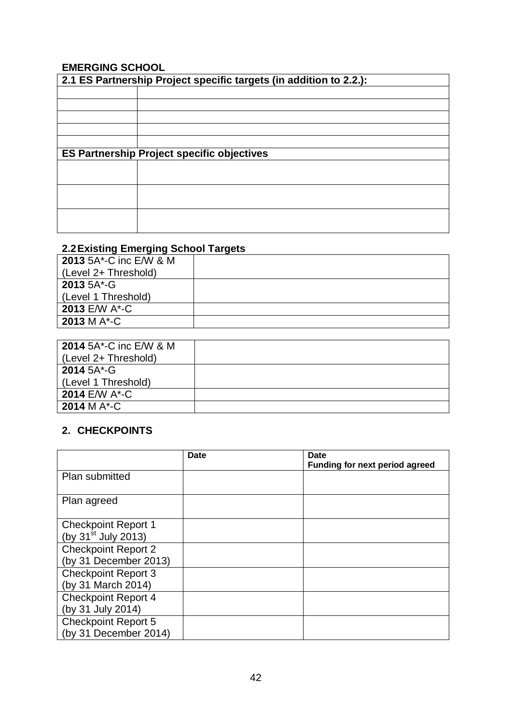### **EMERGING SCHOOL**

| 2.1 ES Partnership Project specific targets (in addition to 2.2.): |                                                   |  |  |  |  |  |
|--------------------------------------------------------------------|---------------------------------------------------|--|--|--|--|--|
|                                                                    |                                                   |  |  |  |  |  |
|                                                                    |                                                   |  |  |  |  |  |
|                                                                    |                                                   |  |  |  |  |  |
|                                                                    |                                                   |  |  |  |  |  |
|                                                                    |                                                   |  |  |  |  |  |
|                                                                    | <b>ES Partnership Project specific objectives</b> |  |  |  |  |  |
|                                                                    |                                                   |  |  |  |  |  |
|                                                                    |                                                   |  |  |  |  |  |
|                                                                    |                                                   |  |  |  |  |  |
|                                                                    |                                                   |  |  |  |  |  |
|                                                                    |                                                   |  |  |  |  |  |
|                                                                    |                                                   |  |  |  |  |  |

### **2.2Existing Emerging School Targets**

| <b>2013 5A*-C inc E/W &amp; M</b> |  |
|-----------------------------------|--|
| (Level 2+ Threshold)              |  |
| 2013 5A*-G                        |  |
| (Level 1 Threshold)               |  |
| 2013 E/W A*-C                     |  |
| 2013 M $A^*$ -C                   |  |

| <b>2014 5A*-C inc E/W &amp; M</b> |  |
|-----------------------------------|--|
| (Level 2+ Threshold)              |  |
| 2014 5A*-G                        |  |
| (Level 1 Threshold)               |  |
| 2014 E/W A*-C                     |  |
| 2014 M A*-C                       |  |

## **2. CHECKPOINTS**

|                            | Date | <b>Date</b><br>Funding for next period agreed |
|----------------------------|------|-----------------------------------------------|
| Plan submitted             |      |                                               |
| Plan agreed                |      |                                               |
| <b>Checkpoint Report 1</b> |      |                                               |
| (by $31^{st}$ July 2013)   |      |                                               |
| <b>Checkpoint Report 2</b> |      |                                               |
| (by 31 December 2013)      |      |                                               |
| <b>Checkpoint Report 3</b> |      |                                               |
| (by 31 March 2014)         |      |                                               |
| <b>Checkpoint Report 4</b> |      |                                               |
| (by 31 July 2014)          |      |                                               |
| <b>Checkpoint Report 5</b> |      |                                               |
| (by 31 December 2014)      |      |                                               |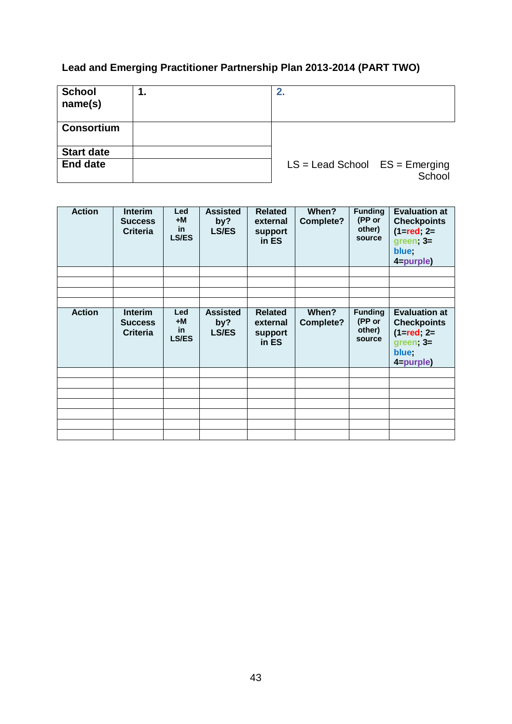# **Lead and Emerging Practitioner Partnership Plan 2013-2014 (PART TWO)**

| <b>School</b><br>name(s) | 1. | 2.                                 |        |
|--------------------------|----|------------------------------------|--------|
| <b>Consortium</b>        |    |                                    |        |
| <b>Start date</b>        |    |                                    |        |
| <b>End date</b>          |    | $LS =$ Lead School $ES =$ Emerging | School |

| <b>Action</b> | <b>Interim</b><br><b>Success</b><br><b>Criteria</b> | <b>Led</b><br>$+M$<br>in<br><b>LS/ES</b> | <b>Assisted</b><br>by?<br><b>LS/ES</b> | <b>Related</b><br>external<br>support<br>in ES | When?<br>Complete? | <b>Funding</b><br>(PP or<br>other)<br>source | <b>Evaluation at</b><br><b>Checkpoints</b><br>$(1 = red; 2 =$<br>$green;$ 3=<br>blue;<br>4=purple) |
|---------------|-----------------------------------------------------|------------------------------------------|----------------------------------------|------------------------------------------------|--------------------|----------------------------------------------|----------------------------------------------------------------------------------------------------|
|               |                                                     |                                          |                                        |                                                |                    |                                              |                                                                                                    |
|               |                                                     |                                          |                                        |                                                |                    |                                              |                                                                                                    |
|               |                                                     |                                          |                                        |                                                |                    |                                              |                                                                                                    |
|               |                                                     |                                          |                                        |                                                |                    |                                              |                                                                                                    |
| <b>Action</b> | <b>Interim</b><br><b>Success</b><br><b>Criteria</b> | Led<br>+M<br>in<br><b>LS/ES</b>          | <b>Assisted</b><br>by?<br><b>LS/ES</b> | <b>Related</b><br>external<br>support<br>in ES | When?<br>Complete? | <b>Funding</b><br>(PP or<br>other)<br>source | <b>Evaluation at</b><br><b>Checkpoints</b><br>$(1 = red; 2 =$<br>$green;$ 3=<br>blue;<br>4=purple) |
|               |                                                     |                                          |                                        |                                                |                    |                                              |                                                                                                    |
|               |                                                     |                                          |                                        |                                                |                    |                                              |                                                                                                    |
|               |                                                     |                                          |                                        |                                                |                    |                                              |                                                                                                    |
|               |                                                     |                                          |                                        |                                                |                    |                                              |                                                                                                    |
|               |                                                     |                                          |                                        |                                                |                    |                                              |                                                                                                    |
|               |                                                     |                                          |                                        |                                                |                    |                                              |                                                                                                    |
|               |                                                     |                                          |                                        |                                                |                    |                                              |                                                                                                    |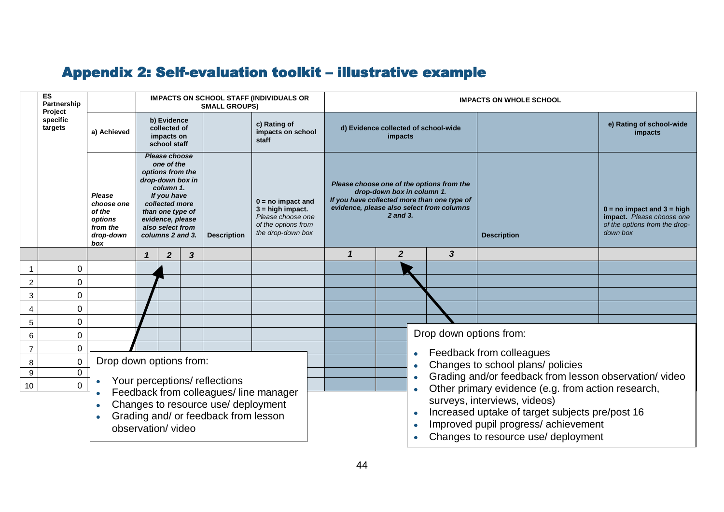# Appendix 2: Self-evaluation toolkit – illustrative example

<span id="page-45-0"></span>

|                  | ES<br>Partnership<br>Project       | <b>IMPACTS ON SCHOOL STAFF (INDIVIDUALS OR</b><br><b>SMALL GROUPS)</b>                                                                                              |                         |                                                                                                                                                                                                   |              |                    |                                                                                                            |  | <b>IMPACTS ON WHOLE SCHOOL</b>                                                                                                                                                  |                  |           |                                                                            |                                                 |                                                                                                          |  |
|------------------|------------------------------------|---------------------------------------------------------------------------------------------------------------------------------------------------------------------|-------------------------|---------------------------------------------------------------------------------------------------------------------------------------------------------------------------------------------------|--------------|--------------------|------------------------------------------------------------------------------------------------------------|--|---------------------------------------------------------------------------------------------------------------------------------------------------------------------------------|------------------|-----------|----------------------------------------------------------------------------|-------------------------------------------------|----------------------------------------------------------------------------------------------------------|--|
|                  | specific<br>targets<br>a) Achieved |                                                                                                                                                                     |                         | b) Evidence<br>c) Rating of<br>collected of<br>impacts on school<br>impacts on<br>staff<br>school staff                                                                                           |              |                    |                                                                                                            |  | d) Evidence collected of school-wide<br>impacts                                                                                                                                 |                  |           |                                                                            |                                                 | e) Rating of school-wide<br>impacts                                                                      |  |
|                  |                                    | Please<br>choose one<br>of the<br>options<br>from the<br>drop-down<br>box                                                                                           |                         | Please choose<br>one of the<br>options from the<br>drop-down box in<br>column 1.<br>If you have<br>collected more<br>than one type of<br>evidence, please<br>also select from<br>columns 2 and 3. |              | <b>Description</b> | $0 = no$ impact and<br>$3 = high impact.$<br>Please choose one<br>of the options from<br>the drop-down box |  | Please choose one of the options from the<br>drop-down box in column 1.<br>If you have collected more than one type of<br>evidence, please also select from columns<br>2 and 3. |                  |           |                                                                            | <b>Description</b>                              | $0 = no$ impact and $3 = high$<br>impact. Please choose one<br>of the options from the drop-<br>down box |  |
|                  |                                    |                                                                                                                                                                     |                         | $\boldsymbol{2}$                                                                                                                                                                                  | $\mathbf{3}$ |                    |                                                                                                            |  | 1                                                                                                                                                                               | $\boldsymbol{2}$ |           | 3                                                                          |                                                 |                                                                                                          |  |
| -1               | 0                                  |                                                                                                                                                                     |                         |                                                                                                                                                                                                   |              |                    |                                                                                                            |  |                                                                                                                                                                                 |                  |           |                                                                            |                                                 |                                                                                                          |  |
| $\overline{c}$   | 0                                  |                                                                                                                                                                     |                         |                                                                                                                                                                                                   |              |                    |                                                                                                            |  |                                                                                                                                                                                 |                  |           |                                                                            |                                                 |                                                                                                          |  |
| $\mathbf{3}$     | 0                                  |                                                                                                                                                                     |                         |                                                                                                                                                                                                   |              |                    |                                                                                                            |  |                                                                                                                                                                                 |                  |           |                                                                            |                                                 |                                                                                                          |  |
| 4                | 0                                  |                                                                                                                                                                     |                         |                                                                                                                                                                                                   |              |                    |                                                                                                            |  |                                                                                                                                                                                 |                  |           |                                                                            |                                                 |                                                                                                          |  |
| 5                | 0                                  |                                                                                                                                                                     |                         |                                                                                                                                                                                                   |              |                    |                                                                                                            |  |                                                                                                                                                                                 |                  |           |                                                                            |                                                 |                                                                                                          |  |
| 6                | 0                                  |                                                                                                                                                                     |                         |                                                                                                                                                                                                   |              |                    |                                                                                                            |  |                                                                                                                                                                                 |                  |           | Drop down options from:                                                    |                                                 |                                                                                                          |  |
| $\overline{7}$   | 0                                  |                                                                                                                                                                     |                         |                                                                                                                                                                                                   |              |                    |                                                                                                            |  |                                                                                                                                                                                 |                  |           |                                                                            |                                                 |                                                                                                          |  |
| 8                | 0                                  |                                                                                                                                                                     | Drop down options from: |                                                                                                                                                                                                   |              |                    |                                                                                                            |  | Feedback from colleagues<br>Changes to school plans/ policies                                                                                                                   |                  |           |                                                                            |                                                 |                                                                                                          |  |
| $\boldsymbol{9}$ | $\pmb{0}$                          |                                                                                                                                                                     |                         |                                                                                                                                                                                                   |              |                    |                                                                                                            |  | Grading and/or feedback from lesson observation/video                                                                                                                           |                  |           |                                                                            |                                                 |                                                                                                          |  |
| 10               | 0                                  | Your perceptions/ reflections                                                                                                                                       |                         |                                                                                                                                                                                                   |              |                    |                                                                                                            |  |                                                                                                                                                                                 |                  |           | Other primary evidence (e.g. from action research,                         |                                                 |                                                                                                          |  |
|                  |                                    | Feedback from colleagues/line manager<br>Changes to resource use/ deployment<br>$\bullet$<br>Grading and/ or feedback from lesson<br>$\bullet$<br>observation/video |                         |                                                                                                                                                                                                   |              |                    |                                                                                                            |  |                                                                                                                                                                                 |                  |           |                                                                            | surveys, interviews, videos)                    |                                                                                                          |  |
|                  |                                    |                                                                                                                                                                     |                         |                                                                                                                                                                                                   |              |                    |                                                                                                            |  |                                                                                                                                                                                 |                  | $\bullet$ |                                                                            | Increased uptake of target subjects pre/post 16 |                                                                                                          |  |
|                  |                                    |                                                                                                                                                                     |                         |                                                                                                                                                                                                   |              |                    |                                                                                                            |  |                                                                                                                                                                                 |                  | $\bullet$ | Improved pupil progress/achievement<br>Changes to resource use/ deployment |                                                 |                                                                                                          |  |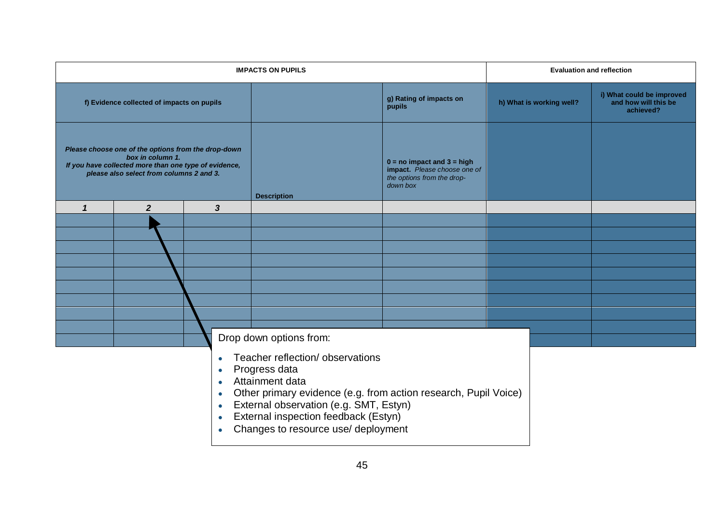| <b>IMPACTS ON PUPILS</b>                                                                                                                                                                                                                                                                                                                                   |                  |                         |                         |                                                                                                          | <b>Evaluation and reflection</b> |                                                                |
|------------------------------------------------------------------------------------------------------------------------------------------------------------------------------------------------------------------------------------------------------------------------------------------------------------------------------------------------------------|------------------|-------------------------|-------------------------|----------------------------------------------------------------------------------------------------------|----------------------------------|----------------------------------------------------------------|
| f) Evidence collected of impacts on pupils                                                                                                                                                                                                                                                                                                                 |                  |                         |                         | g) Rating of impacts on<br>pupils                                                                        | h) What is working well?         | i) What could be improved<br>and how will this be<br>achieved? |
| Please choose one of the options from the drop-down<br>box in column 1.<br>If you have collected more than one type of evidence,<br>please also select from columns 2 and 3.                                                                                                                                                                               |                  |                         | <b>Description</b>      | $0 = no$ impact and $3 = high$<br>impact. Please choose one of<br>the options from the drop-<br>down box |                                  |                                                                |
| $\mathbf{1}$                                                                                                                                                                                                                                                                                                                                               | $\boldsymbol{2}$ | $\overline{\mathbf{3}}$ |                         |                                                                                                          |                                  |                                                                |
|                                                                                                                                                                                                                                                                                                                                                            |                  |                         |                         |                                                                                                          |                                  |                                                                |
|                                                                                                                                                                                                                                                                                                                                                            |                  |                         |                         |                                                                                                          |                                  |                                                                |
|                                                                                                                                                                                                                                                                                                                                                            |                  |                         |                         |                                                                                                          |                                  |                                                                |
|                                                                                                                                                                                                                                                                                                                                                            |                  |                         |                         |                                                                                                          |                                  |                                                                |
|                                                                                                                                                                                                                                                                                                                                                            |                  |                         |                         |                                                                                                          |                                  |                                                                |
|                                                                                                                                                                                                                                                                                                                                                            |                  |                         |                         |                                                                                                          |                                  |                                                                |
|                                                                                                                                                                                                                                                                                                                                                            |                  |                         |                         |                                                                                                          |                                  |                                                                |
|                                                                                                                                                                                                                                                                                                                                                            |                  |                         |                         |                                                                                                          |                                  |                                                                |
|                                                                                                                                                                                                                                                                                                                                                            |                  |                         | Drop down options from: |                                                                                                          |                                  |                                                                |
| Teacher reflection/observations<br>$\bullet$<br>Progress data<br>$\bullet$<br>Attainment data<br>$\bullet$<br>Other primary evidence (e.g. from action research, Pupil Voice)<br>$\bullet$<br>External observation (e.g. SMT, Estyn)<br>$\bullet$<br>External inspection feedback (Estyn)<br>$\bullet$<br>Changes to resource use/ deployment<br>$\bullet$ |                  |                         |                         |                                                                                                          |                                  |                                                                |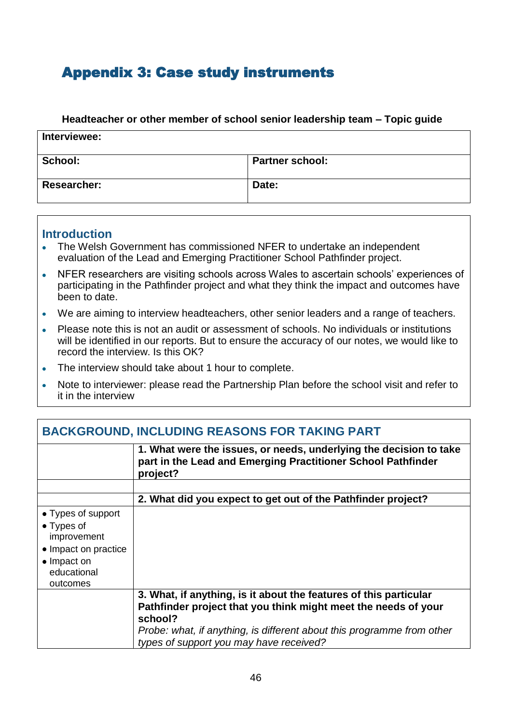# <span id="page-47-0"></span>Appendix 3: Case study instruments

#### **Headteacher or other member of school senior leadership team – Topic guide**

| Interviewee:       |                        |  |
|--------------------|------------------------|--|
| School:            | <b>Partner school:</b> |  |
| <b>Researcher:</b> | Date:                  |  |

### **Introduction**

- The Welsh Government has commissioned NFER to undertake an independent evaluation of the Lead and Emerging Practitioner School Pathfinder project.
- NFER researchers are visiting schools across Wales to ascertain schools' experiences of  $\bullet$ participating in the Pathfinder project and what they think the impact and outcomes have been to date.
- We are aiming to interview headteachers, other senior leaders and a range of teachers.  $\bullet$
- Please note this is not an audit or assessment of schools. No individuals or institutions  $\bullet$ will be identified in our reports. But to ensure the accuracy of our notes, we would like to record the interview. Is this OK?
- The interview should take about 1 hour to complete.
- Note to interviewer: please read the Partnership Plan before the school visit and refer to  $\bullet$ it in the interview

| <b>BACKGROUND, INCLUDING REASONS FOR TAKING PART</b>                                                                              |                                                                                                                                                                                                                                                                     |  |
|-----------------------------------------------------------------------------------------------------------------------------------|---------------------------------------------------------------------------------------------------------------------------------------------------------------------------------------------------------------------------------------------------------------------|--|
|                                                                                                                                   | 1. What were the issues, or needs, underlying the decision to take<br>part in the Lead and Emerging Practitioner School Pathfinder<br>project?                                                                                                                      |  |
|                                                                                                                                   |                                                                                                                                                                                                                                                                     |  |
|                                                                                                                                   | 2. What did you expect to get out of the Pathfinder project?                                                                                                                                                                                                        |  |
| • Types of support<br>$\bullet$ Types of<br>improvement<br>• Impact on practice<br>$\bullet$ Impact on<br>educational<br>outcomes |                                                                                                                                                                                                                                                                     |  |
|                                                                                                                                   | 3. What, if anything, is it about the features of this particular<br>Pathfinder project that you think might meet the needs of your<br>school?<br>Probe: what, if anything, is different about this programme from other<br>types of support you may have received? |  |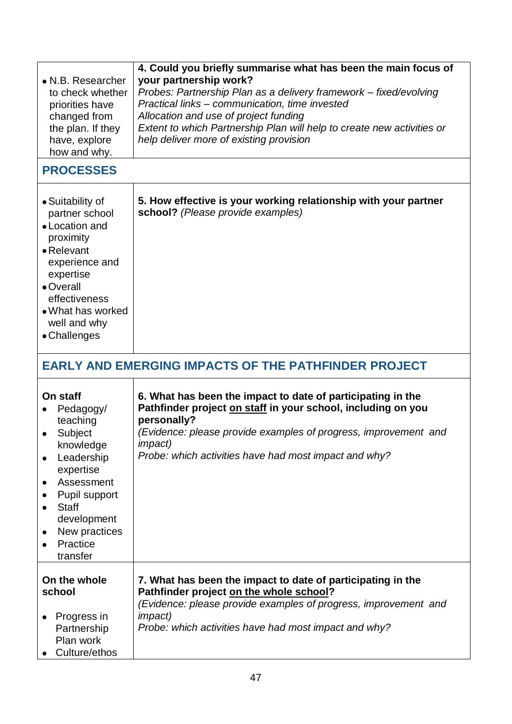| • N.B. Researcher<br>to check whether<br>priorities have<br>changed from<br>the plan. If they<br>have, explore<br>how and why.<br><b>PROCESSES</b>                                                                                                | 4. Could you briefly summarise what has been the main focus of<br>your partnership work?<br>Probes: Partnership Plan as a delivery framework - fixed/evolving<br>Practical links - communication, time invested<br>Allocation and use of project funding<br>Extent to which Partnership Plan will help to create new activities or<br>help deliver more of existing provision |
|---------------------------------------------------------------------------------------------------------------------------------------------------------------------------------------------------------------------------------------------------|-------------------------------------------------------------------------------------------------------------------------------------------------------------------------------------------------------------------------------------------------------------------------------------------------------------------------------------------------------------------------------|
|                                                                                                                                                                                                                                                   |                                                                                                                                                                                                                                                                                                                                                                               |
| • Suitability of<br>partner school<br>• Location and<br>proximity<br>$\bullet$ Relevant<br>experience and<br>expertise<br>• Overall<br>effectiveness<br>• What has worked<br>well and why<br>• Challenges                                         | 5. How effective is your working relationship with your partner<br>school? (Please provide examples)                                                                                                                                                                                                                                                                          |
|                                                                                                                                                                                                                                                   | <b>EARLY AND EMERGING IMPACTS OF THE PATHFINDER PROJECT</b>                                                                                                                                                                                                                                                                                                                   |
| On staff<br>Pedagogy/<br>$\bullet$<br>teaching<br>Subject<br>٠<br>knowledge<br>Leadership<br>expertise<br>Assessment<br>٠<br>Pupil support<br><b>Staff</b><br>$\bullet$<br>development<br>New practices<br>٠<br>Practice<br>$\bullet$<br>transfer | 6. What has been the impact to date of participating in the<br>Pathfinder project on staff in your school, including on you<br>personally?<br>(Evidence: please provide examples of progress, improvement and<br><i>impact</i> )<br>Probe: which activities have had most impact and why?                                                                                     |
| On the whole<br>school<br>Progress in<br>Partnership<br>Plan work<br>Culture/ethos                                                                                                                                                                | 7. What has been the impact to date of participating in the<br>Pathfinder project on the whole school?<br>(Evidence: please provide examples of progress, improvement and<br><i>impact</i> )<br>Probe: which activities have had most impact and why?                                                                                                                         |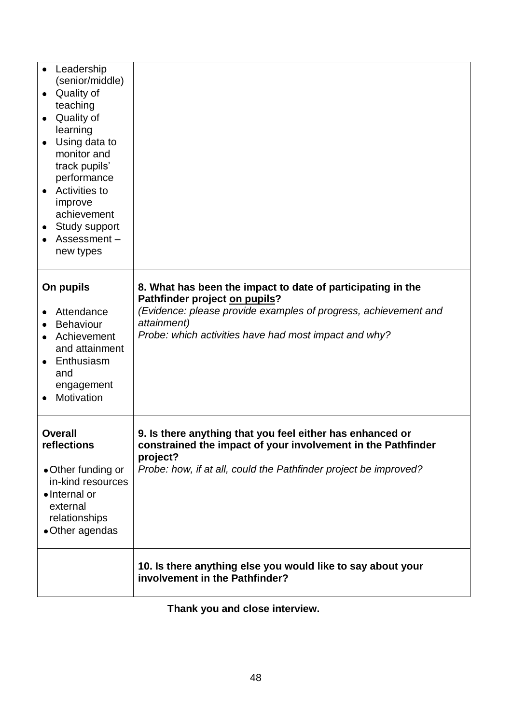| Leadership<br>$\bullet$<br>(senior/middle)<br>Quality of<br>teaching<br>Quality of<br>learning<br>Using data to<br>monitor and<br>track pupils'<br>performance<br>Activities to<br>improve<br>achievement<br>Study support<br>Assessment-<br>new types |                                                                                                                                                                                                                                         |  |
|--------------------------------------------------------------------------------------------------------------------------------------------------------------------------------------------------------------------------------------------------------|-----------------------------------------------------------------------------------------------------------------------------------------------------------------------------------------------------------------------------------------|--|
| On pupils<br>Attendance<br><b>Behaviour</b><br>Achievement<br>and attainment<br>Enthusiasm<br>and<br>engagement<br>Motivation                                                                                                                          | 8. What has been the impact to date of participating in the<br>Pathfinder project on pupils?<br>(Evidence: please provide examples of progress, achievement and<br>attainment)<br>Probe: which activities have had most impact and why? |  |
| <b>Overall</b><br>reflections<br>• Other funding or<br>in-kind resources<br>• Internal or<br>external<br>relationships<br>•Other agendas                                                                                                               | 9. Is there anything that you feel either has enhanced or<br>constrained the impact of your involvement in the Pathfinder<br>project?<br>Probe: how, if at all, could the Pathfinder project be improved?                               |  |
|                                                                                                                                                                                                                                                        | 10. Is there anything else you would like to say about your<br>involvement in the Pathfinder?                                                                                                                                           |  |

# **Thank you and close interview.**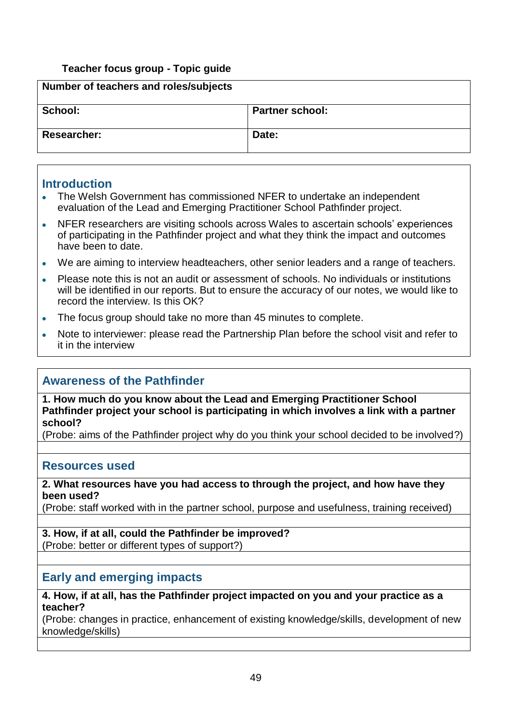### **Teacher focus group - Topic guide**

| Number of teachers and roles/subjects |                        |  |
|---------------------------------------|------------------------|--|
| School:                               | <b>Partner school:</b> |  |
| <b>Researcher:</b>                    | Date:                  |  |

### **Introduction**

- The Welsh Government has commissioned NFER to undertake an independent  $\mathbf{A}^{\mathbf{r}}$ evaluation of the Lead and Emerging Practitioner School Pathfinder project.
- NFER researchers are visiting schools across Wales to ascertain schools' experiences of participating in the Pathfinder project and what they think the impact and outcomes have been to date.
- We are aiming to interview headteachers, other senior leaders and a range of teachers.
- Please note this is not an audit or assessment of schools. No individuals or institutions will be identified in our reports. But to ensure the accuracy of our notes, we would like to record the interview. Is this OK?
- The focus group should take no more than 45 minutes to complete.
- Note to interviewer: please read the Partnership Plan before the school visit and refer to  $\bullet$ it in the interview

## **Awareness of the Pathfinder**

**1. How much do you know about the Lead and Emerging Practitioner School Pathfinder project your school is participating in which involves a link with a partner school?** 

(Probe: aims of the Pathfinder project why do you think your school decided to be involved?)

### **Resources used**

#### **2. What resources have you had access to through the project, and how have they been used?**

(Probe: staff worked with in the partner school, purpose and usefulness, training received)

# **3. How, if at all, could the Pathfinder be improved?**

(Probe: better or different types of support?)

## **Early and emerging impacts**

**4. How, if at all, has the Pathfinder project impacted on you and your practice as a teacher?** 

(Probe: changes in practice, enhancement of existing knowledge/skills, development of new knowledge/skills)